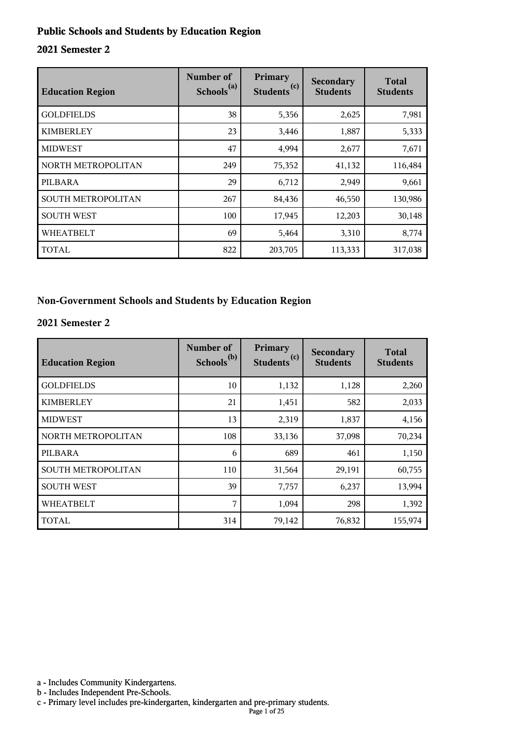#### **Public Schools and Students by Education Region**

#### **2021 Semester 2**

| <b>Education Region</b> | Number of<br>Schools <sup>(a)</sup> | Primary<br>(c)<br><b>Students</b> | Secondary<br><b>Students</b> | <b>Total</b><br><b>Students</b> |
|-------------------------|-------------------------------------|-----------------------------------|------------------------------|---------------------------------|
| <b>GOLDFIELDS</b>       | 38                                  | 5,356                             | 2,625                        | 7,981                           |
| <b>KIMBERLEY</b>        | 23                                  | 3,446                             | 1,887                        | 5,333                           |
| <b>MIDWEST</b>          | 47                                  | 4,994                             | 2,677                        | 7,671                           |
| NORTH METROPOLITAN      | 249                                 | 75,352                            | 41,132                       | 116,484                         |
| PILBARA                 | 29                                  | 6,712                             | 2,949                        | 9,661                           |
| SOUTH METROPOLITAN      | 267                                 | 84,436                            | 46,550                       | 130,986                         |
| <b>SOUTH WEST</b>       | 100                                 | 17,945                            | 12,203                       | 30,148                          |
| <b>WHEATBELT</b>        | 69                                  | 5,464                             | 3,310                        | 8,774                           |
| <b>TOTAL</b>            | 822                                 | 203,705                           | 113,333                      | 317,038                         |

#### **Non-Government Schools and Students by Education Region**

#### **2021 Semester 2**

| <b>Education Region</b> | Number of<br>Schools <sup>(b)</sup> | Primary<br>Students <sup>(c)</sup> | Secondary<br><b>Students</b> | <b>Total</b><br><b>Students</b> |
|-------------------------|-------------------------------------|------------------------------------|------------------------------|---------------------------------|
| <b>GOLDFIELDS</b>       | 10                                  | 1,132                              | 1,128                        | 2,260                           |
| <b>KIMBERLEY</b>        | 21                                  | 1,451                              | 582                          | 2,033                           |
| <b>MIDWEST</b>          | 13                                  | 2,319                              | 1,837                        | 4,156                           |
| NORTH METROPOLITAN      | 108                                 | 33,136                             | 37,098                       | 70,234                          |
| PILBARA                 | 6                                   | 689                                | 461                          | 1,150                           |
| SOUTH METROPOLITAN      | 110                                 | 31,564                             | 29,191                       | 60,755                          |
| <b>SOUTH WEST</b>       | 39                                  | 7,757                              | 6,237                        | 13,994                          |
| <b>WHEATBELT</b>        | 7                                   | 1,094                              | 298                          | 1,392                           |
| <b>TOTAL</b>            | 314                                 | 79,142                             | 76,832                       | 155,974                         |

a - Includes Community Kindergartens.

b - Includes Independent Pre-Schools.

c - Primary level includes pre-kindergarten, kindergarten and pre-primary students.

Page 1 of 25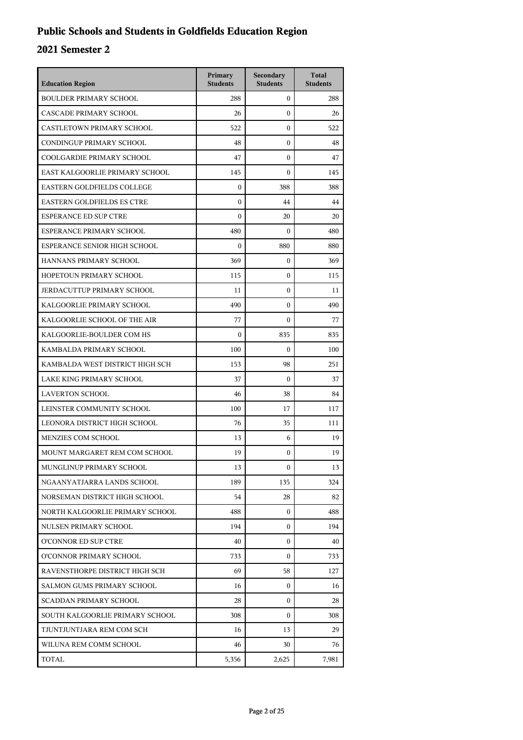## **Public Schools and Students in Goldfields Education Region**

| <b>Education Region</b>           | Primary<br><b>Students</b> | Secondary<br><b>Students</b> | <b>Total</b><br><b>Students</b> |
|-----------------------------------|----------------------------|------------------------------|---------------------------------|
| <b>BOULDER PRIMARY SCHOOL</b>     | 288                        | $\mathbf{0}$                 | 288                             |
| CASCADE PRIMARY SCHOOL            | 26                         | $\theta$                     | 26                              |
| CASTLETOWN PRIMARY SCHOOL         | 522                        | 0                            | 522                             |
| CONDINGUP PRIMARY SCHOOL          | 48                         | 0                            | 48                              |
| COOLGARDIE PRIMARY SCHOOL         | 47                         | 0                            | 47                              |
| EAST KALGOORLIE PRIMARY SCHOOL    | 145                        | 0                            | 145                             |
| <b>EASTERN GOLDFIELDS COLLEGE</b> | $\mathbf{0}$               | 388                          | 388                             |
| <b>EASTERN GOLDFIELDS ES CTRE</b> | $\mathbf{0}$               | 44                           | 44                              |
| <b>ESPERANCE ED SUP CTRE</b>      | $\boldsymbol{0}$           | 20                           | 20                              |
| ESPERANCE PRIMARY SCHOOL          | 480                        | 0                            | 480                             |
| ESPERANCE SENIOR HIGH SCHOOL      | $\boldsymbol{0}$           | 880                          | 880                             |
| HANNANS PRIMARY SCHOOL            | 369                        | $\overline{0}$               | 369                             |
| HOPETOUN PRIMARY SCHOOL           | 115                        | 0                            | 115                             |
| JERDACUTTUP PRIMARY SCHOOL        | 11                         | 0                            | 11                              |
| KALGOORLIE PRIMARY SCHOOL         | 490                        | 0                            | 490                             |
| KALGOORLIE SCHOOL OF THE AIR      | 77                         | 0                            | 77                              |
| KALGOORLIE-BOULDER COM HS         | $\mathbf{0}$               | 835                          | 835                             |
| KAMBALDA PRIMARY SCHOOL           | 100                        | 0                            | 100                             |
| KAMBALDA WEST DISTRICT HIGH SCH   | 153                        | 98                           | 251                             |
| LAKE KING PRIMARY SCHOOL          | 37                         | $\boldsymbol{0}$             | 37                              |
| <b>LAVERTON SCHOOL</b>            | 46                         | 38                           | 84                              |
| LEINSTER COMMUNITY SCHOOL         | 100                        | 17                           | 117                             |
| LEONORA DISTRICT HIGH SCHOOL      | 76                         | 35                           | 111                             |
| MENZIES COM SCHOOL                | 13                         | 6                            | 19                              |
| MOUNT MARGARET REM COM SCHOOL     | 19                         | 0                            | 19                              |
| MUNGLINUP PRIMARY SCHOOL          | 13                         | 0                            | 13                              |
| NGAANYATJARRA LANDS SCHOOL        | 189                        | 135                          | 324                             |
| NORSEMAN DISTRICT HIGH SCHOOL     | 54                         | 28                           | 82                              |
| NORTH KALGOORLIE PRIMARY SCHOOL   | 488                        | 0                            | 488                             |
| NULSEN PRIMARY SCHOOL             | 194                        | 0                            | 194                             |
| O'CONNOR ED SUP CTRE              | 40                         | $\theta$                     | 40                              |
| O'CONNOR PRIMARY SCHOOL           | 733                        | $\theta$                     | 733                             |
| RAVENSTHORPE DISTRICT HIGH SCH    | 69                         | 58                           | 127                             |
| SALMON GUMS PRIMARY SCHOOL        | 16                         | 0                            | 16                              |
| SCADDAN PRIMARY SCHOOL            | 28                         | 0                            | 28                              |
| SOUTH KALGOORLIE PRIMARY SCHOOL   | 308                        | $\theta$                     | 308                             |
| TJUNTJUNTJARA REM COM SCH         | 16                         | 13                           | 29                              |
| WILUNA REM COMM SCHOOL            | 46                         | 30                           | 76                              |
| TOTAL                             | 5,356                      | 2,625                        | 7,981                           |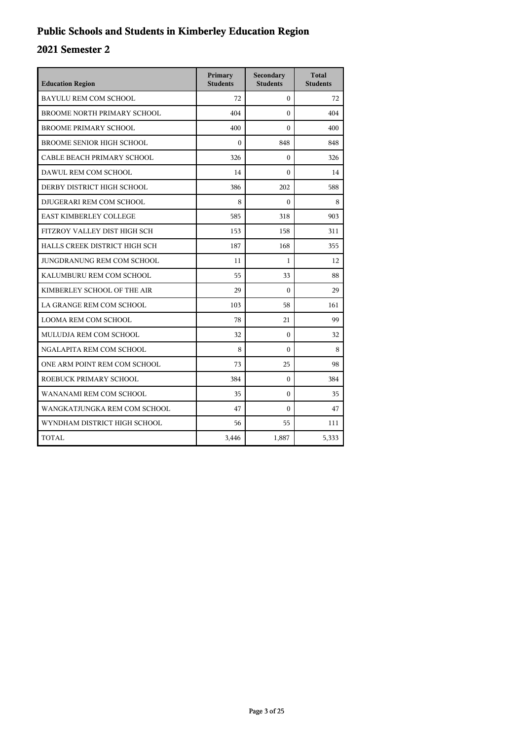## **Public Schools and Students in Kimberley Education Region**

| <b>Education Region</b>          | Primary<br><b>Students</b> | Secondary<br><b>Students</b> | <b>Total</b><br><b>Students</b> |
|----------------------------------|----------------------------|------------------------------|---------------------------------|
| <b>BAYULU REM COM SCHOOL</b>     | 72                         | $\theta$                     | 72                              |
| BROOME NORTH PRIMARY SCHOOL      | 404                        | $\Omega$                     | 404                             |
| <b>BROOME PRIMARY SCHOOL</b>     | 400                        | $\theta$                     | 400                             |
| <b>BROOME SENIOR HIGH SCHOOL</b> | $\theta$                   | 848                          | 848                             |
| CABLE BEACH PRIMARY SCHOOL       | 326                        | $\mathbf{0}$                 | 326                             |
| DAWUL REM COM SCHOOL             | 14                         | $\theta$                     | 14                              |
| DERBY DISTRICT HIGH SCHOOL       | 386                        | 202                          | 588                             |
| DJUGERARI REM COM SCHOOL         | 8                          | $\theta$                     | 8                               |
| <b>EAST KIMBERLEY COLLEGE</b>    | 585                        | 318                          | 903                             |
| FITZROY VALLEY DIST HIGH SCH     | 153                        | 158                          | 311                             |
| HALLS CREEK DISTRICT HIGH SCH    | 187                        | 168                          | 355                             |
| JUNGDRANUNG REM COM SCHOOL       | 11                         | $\mathbf{1}$                 | 12                              |
| KALUMBURU REM COM SCHOOL         | 55                         | 33                           | 88                              |
| KIMBERLEY SCHOOL OF THE AIR      | 29                         | $\theta$                     | 29                              |
| LA GRANGE REM COM SCHOOL         | 103                        | 58                           | 161                             |
| LOOMA REM COM SCHOOL             | 78                         | 21                           | 99                              |
| MULUDJA REM COM SCHOOL           | 32                         | $\mathbf{0}$                 | 32                              |
| NGALAPITA REM COM SCHOOL         | 8                          | $\Omega$                     | 8                               |
| ONE ARM POINT REM COM SCHOOL     | 73                         | 25                           | 98                              |
| ROEBUCK PRIMARY SCHOOL           | 384                        | $\Omega$                     | 384                             |
| WANANAMI REM COM SCHOOL          | 35                         | $\mathbf{0}$                 | 35                              |
| WANGKATJUNGKA REM COM SCHOOL     | 47                         | $\theta$                     | 47                              |
| WYNDHAM DISTRICT HIGH SCHOOL     | 56                         | 55                           | 111                             |
| TOTAL                            | 3,446                      | 1,887                        | 5,333                           |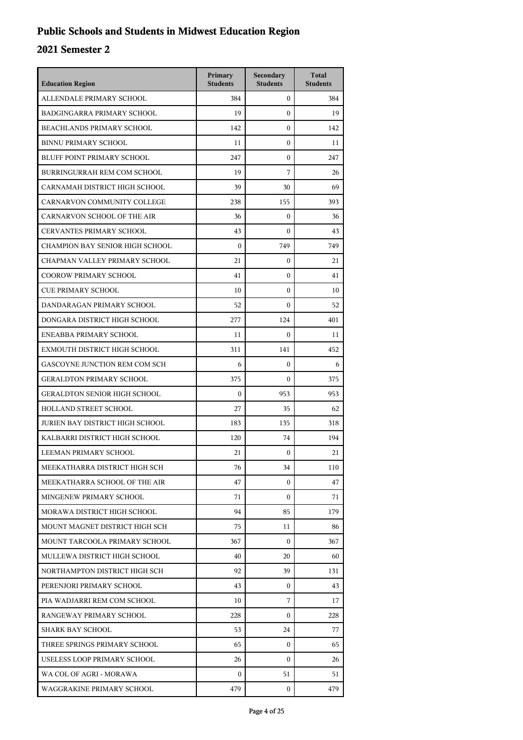## **Public Schools and Students in Midwest Education Region**

| <b>Education Region</b>                | Primary<br><b>Students</b> | Secondary<br><b>Students</b> | <b>Total</b><br><b>Students</b> |
|----------------------------------------|----------------------------|------------------------------|---------------------------------|
| ALLENDALE PRIMARY SCHOOL               | 384                        | $\overline{0}$               | 384                             |
| BADGINGARRA PRIMARY SCHOOL             | 19                         | $\Omega$                     | 19                              |
| BEACHLANDS PRIMARY SCHOOL              | 142                        | $\mathbf{0}$                 | 142                             |
| <b>BINNU PRIMARY SCHOOL</b>            | 11                         | $\mathbf{0}$                 | 11                              |
| BLUFF POINT PRIMARY SCHOOL             | 247                        | $\mathbf{0}$                 | 247                             |
| BURRINGURRAH REM COM SCHOOL            | 19                         | 7                            | 26                              |
| CARNAMAH DISTRICT HIGH SCHOOL          | 39                         | 30                           | 69                              |
| CARNARVON COMMUNITY COLLEGE            | 238                        | 155                          | 393                             |
| CARNARVON SCHOOL OF THE AIR            | 36                         | $\mathbf{0}$                 | 36                              |
| <b>CERVANTES PRIMARY SCHOOL</b>        | 43                         | $\Omega$                     | 43                              |
| CHAMPION BAY SENIOR HIGH SCHOOL        | $\mathbf{0}$               | 749                          | 749                             |
| CHAPMAN VALLEY PRIMARY SCHOOL          | 21                         | $\mathbf{0}$                 | 21                              |
| <b>COOROW PRIMARY SCHOOL</b>           | 41                         | $\mathbf{0}$                 | 41                              |
| <b>CUE PRIMARY SCHOOL</b>              | 10                         | $\mathbf{0}$                 | 10                              |
| DANDARAGAN PRIMARY SCHOOL              | 52                         | $\Omega$                     | 52                              |
| DONGARA DISTRICT HIGH SCHOOL           | 277                        | 124                          | 401                             |
| ENEABBA PRIMARY SCHOOL                 | 11                         | $\Omega$                     | 11                              |
| EXMOUTH DISTRICT HIGH SCHOOL           | 311                        | 141                          | 452                             |
| GASCOYNE JUNCTION REM COM SCH          | 6                          | $\mathbf{0}$                 | 6                               |
| <b>GERALDTON PRIMARY SCHOOL</b>        | 375                        | $\Omega$                     | 375                             |
| <b>GERALDTON SENIOR HIGH SCHOOL</b>    | $\mathbf{0}$               | 953                          | 953                             |
| HOLLAND STREET SCHOOL                  | 27                         | 35                           | 62                              |
| <b>JURIEN BAY DISTRICT HIGH SCHOOL</b> | 183                        | 135                          | 318                             |
| KALBARRI DISTRICT HIGH SCHOOL          | 120                        | 74                           | 194                             |
| LEEMAN PRIMARY SCHOOL                  | 21                         | 0                            | 21                              |
| MEEKATHARRA DISTRICT HIGH SCH          | 76                         | 34                           | 110                             |
| MEEKATHARRA SCHOOL OF THE AIR          | 47                         | $\Omega$                     | 47                              |
| MINGENEW PRIMARY SCHOOL                | 71                         | $\mathbf{0}$                 | 71                              |
| MORAWA DISTRICT HIGH SCHOOL            | 94                         | 85                           | 179                             |
| MOUNT MAGNET DISTRICT HIGH SCH         | 75                         | 11                           | 86                              |
| MOUNT TARCOOLA PRIMARY SCHOOL          | 367                        | $\Omega$                     | 367                             |
| MULLEWA DISTRICT HIGH SCHOOL           | 40                         | 20                           | 60                              |
| NORTHAMPTON DISTRICT HIGH SCH          | 92                         | 39                           | 131                             |
| PERENJORI PRIMARY SCHOOL               | 43                         | 0                            | 43                              |
| PIA WADJARRI REM COM SCHOOL            | 10                         | 7                            | 17                              |
| RANGEWAY PRIMARY SCHOOL                | 228                        | $\Omega$                     | 228                             |
| SHARK BAY SCHOOL                       | 53                         | 24                           | 77                              |
| THREE SPRINGS PRIMARY SCHOOL           | 65                         | $\mathbf{0}$                 | 65                              |
| USELESS LOOP PRIMARY SCHOOL            | 26                         | $\mathbf{0}$                 | 26                              |
| WA COL OF AGRI - MORAWA                | $\mathbf{0}$               | 51                           | 51                              |
| WAGGRAKINE PRIMARY SCHOOL              | 479                        | $\mathbf{0}$                 | 479                             |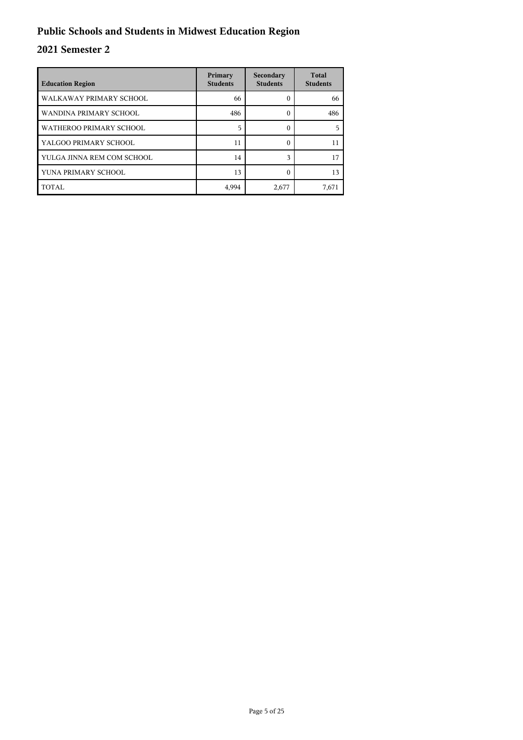## **Public Schools and Students in Midwest Education Region**

| <b>Education Region</b>    | Primary<br><b>Students</b> | Secondary<br><b>Students</b> | <b>Total</b><br><b>Students</b> |
|----------------------------|----------------------------|------------------------------|---------------------------------|
| WALKAWAY PRIMARY SCHOOL    | 66                         | 0                            | 66                              |
| WANDINA PRIMARY SCHOOL     | 486                        | 0                            | 486                             |
| WATHEROO PRIMARY SCHOOL    | 5                          | 0                            |                                 |
| YALGOO PRIMARY SCHOOL      | 11                         | 0                            | 11                              |
| YULGA JINNA REM COM SCHOOL | 14                         | $\mathbf{\hat{z}}$           | 17                              |
| YUNA PRIMARY SCHOOL        | 13                         | C                            | 13                              |
| TOTAL                      | 4,994                      | 2,677                        | 7,671                           |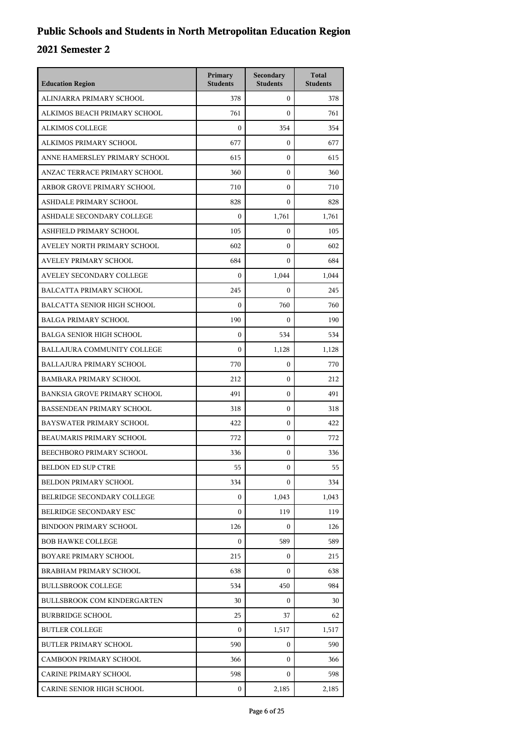| <b>Education Region</b>             | Primary<br><b>Students</b> | Secondary<br><b>Students</b> | <b>Total</b><br><b>Students</b> |
|-------------------------------------|----------------------------|------------------------------|---------------------------------|
| ALINJARRA PRIMARY SCHOOL            | 378                        | $\mathbf{0}$                 | 378                             |
| ALKIMOS BEACH PRIMARY SCHOOL        | 761                        | $\mathbf{0}$                 | 761                             |
| <b>ALKIMOS COLLEGE</b>              | $\mathbf{0}$               | 354                          | 354                             |
| ALKIMOS PRIMARY SCHOOL              | 677                        | $\mathbf{0}$                 | 677                             |
| ANNE HAMERSLEY PRIMARY SCHOOL       | 615                        | $\mathbf{0}$                 | 615                             |
| ANZAC TERRACE PRIMARY SCHOOL        | 360                        | $\mathbf{0}$                 | 360                             |
| ARBOR GROVE PRIMARY SCHOOL          | 710                        | $\mathbf{0}$                 | 710                             |
| ASHDALE PRIMARY SCHOOL              | 828                        | $\mathbf{0}$                 | 828                             |
| ASHDALE SECONDARY COLLEGE           | $\boldsymbol{0}$           | 1,761                        | 1,761                           |
| ASHFIELD PRIMARY SCHOOL             | 105                        | $\mathbf{0}$                 | 105                             |
| AVELEY NORTH PRIMARY SCHOOL         | 602                        | $\mathbf{0}$                 | 602                             |
| <b>AVELEY PRIMARY SCHOOL</b>        | 684                        | $\Omega$                     | 684                             |
| AVELEY SECONDARY COLLEGE            | $\mathbf{0}$               | 1,044                        | 1,044                           |
| <b>BALCATTA PRIMARY SCHOOL</b>      | 245                        | $\mathbf{0}$                 | 245                             |
| <b>BALCATTA SENIOR HIGH SCHOOL</b>  | $\boldsymbol{0}$           | 760                          | 760                             |
| <b>BALGA PRIMARY SCHOOL</b>         | 190                        | $\overline{0}$               | 190                             |
| <b>BALGA SENIOR HIGH SCHOOL</b>     | $\mathbf{0}$               | 534                          | 534                             |
| BALLAJURA COMMUNITY COLLEGE         | $\mathbf{0}$               | 1,128                        | 1,128                           |
| <b>BALLAJURA PRIMARY SCHOOL</b>     | 770                        | $\mathbf{0}$                 | 770                             |
| <b>BAMBARA PRIMARY SCHOOL</b>       | 212                        | $\mathbf{0}$                 | 212                             |
| <b>BANKSIA GROVE PRIMARY SCHOOL</b> | 491                        | $\mathbf{0}$                 | 491                             |
| <b>BASSENDEAN PRIMARY SCHOOL</b>    | 318                        | $\mathbf{0}$                 | 318                             |
| BAYSWATER PRIMARY SCHOOL            | 422                        | $\mathbf{0}$                 | 422                             |
| BEAUMARIS PRIMARY SCHOOL            | 772                        | $\mathbf{0}$                 | 772                             |
| BEECHBORO PRIMARY SCHOOL            | 336                        | $\mathbf{0}$                 | 336                             |
| <b>BELDON ED SUP CTRE</b>           | 55                         | $\boldsymbol{0}$             | 55                              |
| <b>BELDON PRIMARY SCHOOL</b>        | 334                        | $\mathbf{0}$                 | 334                             |
| BELRIDGE SECONDARY COLLEGE          | $\mathbf{0}$               | 1,043                        | 1,043                           |
| <b>BELRIDGE SECONDARY ESC</b>       | $\mathbf{0}$               | 119                          | 119                             |
| <b>BINDOON PRIMARY SCHOOL</b>       | 126                        | $\overline{0}$               | 126                             |
| <b>BOB HAWKE COLLEGE</b>            | $\mathbf{0}$               | 589                          | 589                             |
| BOYARE PRIMARY SCHOOL               | 215                        | $\mathbf{0}$                 | 215                             |
| <b>BRABHAM PRIMARY SCHOOL</b>       | 638                        | $\Omega$                     | 638                             |
| <b>BULLSBROOK COLLEGE</b>           | 534                        | 450                          | 984                             |
| <b>BULLSBROOK COM KINDERGARTEN</b>  | 30                         | $\overline{0}$               | 30                              |
| <b>BURBRIDGE SCHOOL</b>             | 25                         | 37                           | 62                              |
| <b>BUTLER COLLEGE</b>               | $\mathbf{0}$               | 1,517                        | 1,517                           |
| <b>BUTLER PRIMARY SCHOOL</b>        | 590                        | $\mathbf{0}$                 | 590                             |
| <b>CAMBOON PRIMARY SCHOOL</b>       | 366                        | $\mathbf{0}$                 | 366                             |
| CARINE PRIMARY SCHOOL               | 598                        | $\mathbf{0}$                 | 598                             |
| CARINE SENIOR HIGH SCHOOL           | $\mathbf{0}$               | 2,185                        | 2,185                           |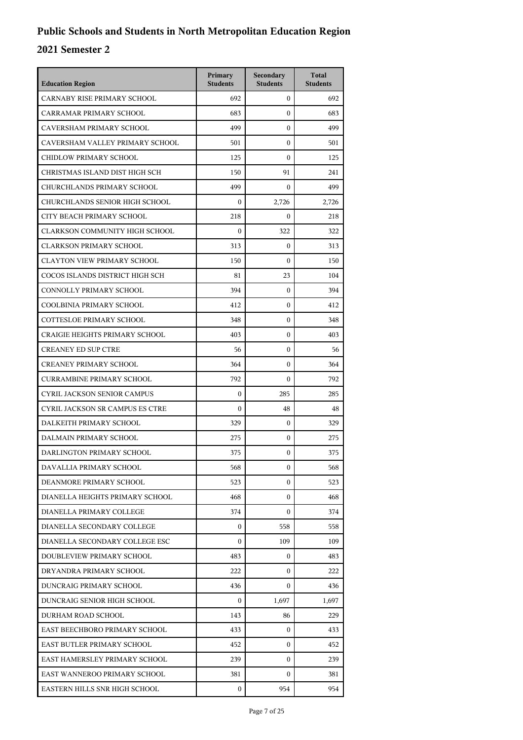| <b>Education Region</b>                | Primary<br><b>Students</b> | Secondary<br><b>Students</b> | <b>Total</b><br><b>Students</b> |
|----------------------------------------|----------------------------|------------------------------|---------------------------------|
| CARNABY RISE PRIMARY SCHOOL            | 692                        | $\mathbf{0}$                 | 692                             |
| CARRAMAR PRIMARY SCHOOL                | 683                        | $\mathbf{0}$                 | 683                             |
| CAVERSHAM PRIMARY SCHOOL               | 499                        | $\mathbf{0}$                 | 499                             |
| CAVERSHAM VALLEY PRIMARY SCHOOL        | 501                        | $\mathbf{0}$                 | 501                             |
| CHIDLOW PRIMARY SCHOOL                 | 125                        | $\theta$                     | 125                             |
| CHRISTMAS ISLAND DIST HIGH SCH         | 150                        | 91                           | 241                             |
| CHURCHLANDS PRIMARY SCHOOL             | 499                        | $\mathbf{0}$                 | 499                             |
| CHURCHLANDS SENIOR HIGH SCHOOL         | $\overline{0}$             | 2,726                        | 2,726                           |
| CITY BEACH PRIMARY SCHOOL              | 218                        | $\mathbf{0}$                 | 218                             |
| <b>CLARKSON COMMUNITY HIGH SCHOOL</b>  | $\boldsymbol{0}$           | 322                          | 322                             |
| <b>CLARKSON PRIMARY SCHOOL</b>         | 313                        | $\mathbf{0}$                 | 313                             |
| <b>CLAYTON VIEW PRIMARY SCHOOL</b>     | 150                        | $\mathbf{0}$                 | 150                             |
| COCOS ISLANDS DISTRICT HIGH SCH        | 81                         | 23                           | 104                             |
| CONNOLLY PRIMARY SCHOOL                | 394                        | $\mathbf{0}$                 | 394                             |
| COOLBINIA PRIMARY SCHOOL               | 412                        | $\mathbf{0}$                 | 412                             |
| COTTESLOE PRIMARY SCHOOL               | 348                        | $\mathbf{0}$                 | 348                             |
| <b>CRAIGIE HEIGHTS PRIMARY SCHOOL</b>  | 403                        | $\mathbf{0}$                 | 403                             |
| <b>CREANEY ED SUP CTRE</b>             | 56                         | $\mathbf{0}$                 | 56                              |
| <b>CREANEY PRIMARY SCHOOL</b>          | 364                        | $\mathbf{0}$                 | 364                             |
| <b>CURRAMBINE PRIMARY SCHOOL</b>       | 792                        | $\mathbf{0}$                 | 792                             |
| <b>CYRIL JACKSON SENIOR CAMPUS</b>     | $\overline{0}$             | 285                          | 285                             |
| <b>CYRIL JACKSON SR CAMPUS ES CTRE</b> | $\overline{0}$             | 48                           | 48                              |
| DALKEITH PRIMARY SCHOOL                | 329                        | $\mathbf{0}$                 | 329                             |
| DALMAIN PRIMARY SCHOOL                 | 275                        | $\mathbf{0}$                 | 275                             |
| DARLINGTON PRIMARY SCHOOL              | 375                        | $\mathbf{0}$                 | 375                             |
| DAVALLIA PRIMARY SCHOOL                | 568                        | 0                            | 568                             |
| DEANMORE PRIMARY SCHOOL                | 523                        | 0                            | 523                             |
| DIANELLA HEIGHTS PRIMARY SCHOOL        | 468                        | $\mathbf{0}$                 | 468                             |
| DIANELLA PRIMARY COLLEGE               | 374                        | 0                            | 374                             |
| DIANELLA SECONDARY COLLEGE             | $\mathbf{0}$               | 558                          | 558                             |
| DIANELLA SECONDARY COLLEGE ESC         | $\mathbf{0}$               | 109                          | 109                             |
| DOUBLEVIEW PRIMARY SCHOOL              | 483                        | 0                            | 483                             |
| DRYANDRA PRIMARY SCHOOL                | 222                        | $\mathbf{0}$                 | 222                             |
| DUNCRAIG PRIMARY SCHOOL                | 436                        | 0                            | 436                             |
| DUNCRAIG SENIOR HIGH SCHOOL            | $\mathbf{0}$               | 1,697                        | 1,697                           |
| DURHAM ROAD SCHOOL                     | 143                        | 86                           | 229                             |
| EAST BEECHBORO PRIMARY SCHOOL          | 433                        | $\mathbf{0}$                 | 433                             |
| EAST BUTLER PRIMARY SCHOOL             | 452                        | $\mathbf{0}$                 | 452                             |
| EAST HAMERSLEY PRIMARY SCHOOL          | 239                        | 0                            | 239                             |
| EAST WANNEROO PRIMARY SCHOOL           | 381                        | 0                            | 381                             |
| EASTERN HILLS SNR HIGH SCHOOL          | 0                          | 954                          | 954                             |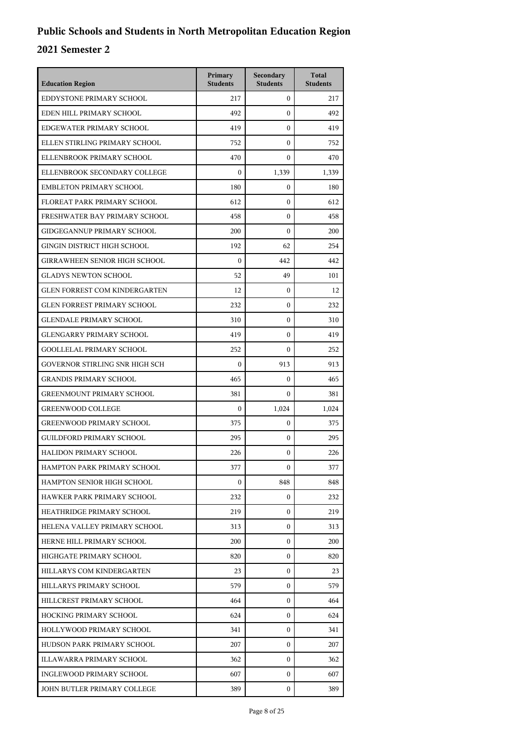| <b>Education Region</b>              | Primary<br><b>Students</b> | Secondary<br><b>Students</b> | <b>Total</b><br><b>Students</b> |
|--------------------------------------|----------------------------|------------------------------|---------------------------------|
| EDDYSTONE PRIMARY SCHOOL             | 217                        | $\mathbf{0}$                 | 217                             |
| EDEN HILL PRIMARY SCHOOL             | 492                        | $\mathbf{0}$                 | 492                             |
| EDGEWATER PRIMARY SCHOOL             | 419                        | $\mathbf{0}$                 | 419                             |
| ELLEN STIRLING PRIMARY SCHOOL        | 752                        | $\mathbf{0}$                 | 752                             |
| ELLENBROOK PRIMARY SCHOOL            | 470                        | $\Omega$                     | 470                             |
| ELLENBROOK SECONDARY COLLEGE         | $\mathbf{0}$               | 1,339                        | 1,339                           |
| <b>EMBLETON PRIMARY SCHOOL</b>       | 180                        | $\mathbf{0}$                 | 180                             |
| FLOREAT PARK PRIMARY SCHOOL          | 612                        | $\mathbf{0}$                 | 612                             |
| FRESHWATER BAY PRIMARY SCHOOL        | 458                        | $\mathbf{0}$                 | 458                             |
| <b>GIDGEGANNUP PRIMARY SCHOOL</b>    | 200                        | $\mathbf{0}$                 | 200                             |
| GINGIN DISTRICT HIGH SCHOOL          | 192                        | 62                           | 254                             |
| <b>GIRRAWHEEN SENIOR HIGH SCHOOL</b> | $\mathbf{0}$               | 442                          | 442                             |
| <b>GLADYS NEWTON SCHOOL</b>          | 52                         | 49                           | 101                             |
| <b>GLEN FORREST COM KINDERGARTEN</b> | 12                         | $\mathbf{0}$                 | 12                              |
| <b>GLEN FORREST PRIMARY SCHOOL</b>   | 232                        | $\mathbf{0}$                 | 232                             |
| <b>GLENDALE PRIMARY SCHOOL</b>       | 310                        | $\mathbf{0}$                 | 310                             |
| <b>GLENGARRY PRIMARY SCHOOL</b>      | 419                        | $\mathbf{0}$                 | 419                             |
| <b>GOOLLELAL PRIMARY SCHOOL</b>      | 252                        | $\mathbf{0}$                 | 252                             |
| GOVERNOR STIRLING SNR HIGH SCH       | $\mathbf{0}$               | 913                          | 913                             |
| <b>GRANDIS PRIMARY SCHOOL</b>        | 465                        | $\mathbf{0}$                 | 465                             |
| <b>GREENMOUNT PRIMARY SCHOOL</b>     | 381                        | $\mathbf{0}$                 | 381                             |
| <b>GREENWOOD COLLEGE</b>             | $\mathbf{0}$               | 1,024                        | 1,024                           |
| <b>GREENWOOD PRIMARY SCHOOL</b>      | 375                        | $\mathbf{0}$                 | 375                             |
| <b>GUILDFORD PRIMARY SCHOOL</b>      | 295                        | $\mathbf{0}$                 | 295                             |
| <b>HALIDON PRIMARY SCHOOL</b>        | 226                        | $\mathbf{0}$                 | 226                             |
| HAMPTON PARK PRIMARY SCHOOL          | 377                        | 0                            | 377                             |
| HAMPTON SENIOR HIGH SCHOOL           | $\mathbf{0}$               | 848                          | 848                             |
| HAWKER PARK PRIMARY SCHOOL           | 232                        | $\mathbf{0}$                 | 232                             |
| HEATHRIDGE PRIMARY SCHOOL            | 219                        | $\mathbf{0}$                 | 219                             |
| HELENA VALLEY PRIMARY SCHOOL         | 313                        | $\overline{0}$               | 313                             |
| HERNE HILL PRIMARY SCHOOL            | 200                        | $\mathbf{0}$                 | 200                             |
| HIGHGATE PRIMARY SCHOOL              | 820                        | $\mathbf{0}$                 | 820                             |
| HILLARYS COM KINDERGARTEN            | 23                         | $\mathbf{0}$                 | 23                              |
| HILLARYS PRIMARY SCHOOL              | 579                        | $\mathbf{0}$                 | 579                             |
| HILLCREST PRIMARY SCHOOL             | 464                        | $\mathbf{0}$                 | 464                             |
| HOCKING PRIMARY SCHOOL               | 624                        | $\mathbf{0}$                 | 624                             |
| HOLLYWOOD PRIMARY SCHOOL             | 341                        | $\mathbf{0}$                 | 341                             |
| HUDSON PARK PRIMARY SCHOOL           | 207                        | $\mathbf{0}$                 | 207                             |
| ILLAWARRA PRIMARY SCHOOL             | 362                        | $\mathbf{0}$                 | 362                             |
| INGLEWOOD PRIMARY SCHOOL             | 607                        | $\mathbf{0}$                 | 607                             |
| JOHN BUTLER PRIMARY COLLEGE          | 389                        | $\mathbf{0}$                 | 389                             |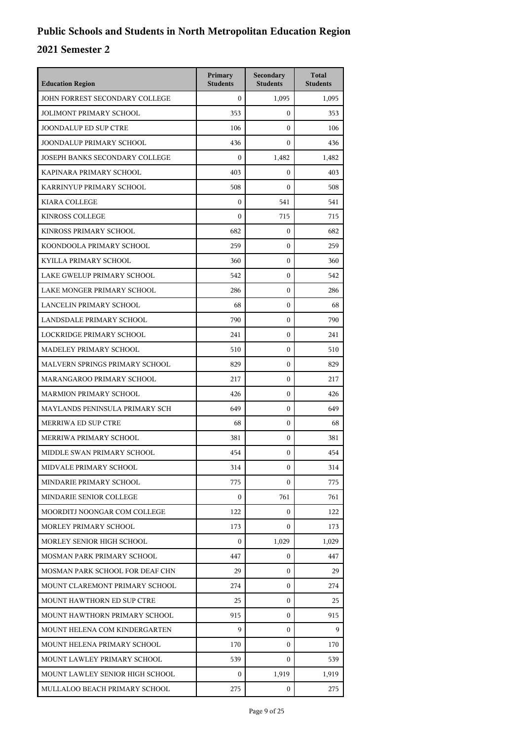| <b>Education Region</b>         | Primary<br><b>Students</b> | Secondary<br><b>Students</b> | <b>Total</b><br><b>Students</b> |
|---------------------------------|----------------------------|------------------------------|---------------------------------|
| JOHN FORREST SECONDARY COLLEGE  | $\mathbf{0}$               | 1,095                        | 1,095                           |
| <b>JOLIMONT PRIMARY SCHOOL</b>  | 353                        | $\mathbf{0}$                 | 353                             |
| <b>JOONDALUP ED SUP CTRE</b>    | 106                        | $\mathbf{0}$                 | 106                             |
| JOONDALUP PRIMARY SCHOOL        | 436                        | $\mathbf{0}$                 | 436                             |
| JOSEPH BANKS SECONDARY COLLEGE  | $\mathbf{0}$               | 1,482                        | 1,482                           |
| KAPINARA PRIMARY SCHOOL         | 403                        | $\mathbf{0}$                 | 403                             |
| KARRINYUP PRIMARY SCHOOL        | 508                        | $\mathbf{0}$                 | 508                             |
| <b>KIARA COLLEGE</b>            | $\mathbf{0}$               | 541                          | 541                             |
| <b>KINROSS COLLEGE</b>          | $\mathbf{0}$               | 715                          | 715                             |
| KINROSS PRIMARY SCHOOL          | 682                        | $\mathbf{0}$                 | 682                             |
| KOONDOOLA PRIMARY SCHOOL        | 259                        | $\mathbf{0}$                 | 259                             |
| KYILLA PRIMARY SCHOOL           | 360                        | $\mathbf{0}$                 | 360                             |
| LAKE GWELUP PRIMARY SCHOOL      | 542                        | $\mathbf{0}$                 | 542                             |
| LAKE MONGER PRIMARY SCHOOL      | 286                        | $\mathbf{0}$                 | 286                             |
| <b>LANCELIN PRIMARY SCHOOL</b>  | 68                         | $\mathbf{0}$                 | 68                              |
| LANDSDALE PRIMARY SCHOOL        | 790                        | $\mathbf{0}$                 | 790                             |
| LOCKRIDGE PRIMARY SCHOOL        | 241                        | $\mathbf{0}$                 | 241                             |
| MADELEY PRIMARY SCHOOL          | 510                        | $\mathbf{0}$                 | 510                             |
| MALVERN SPRINGS PRIMARY SCHOOL  | 829                        | $\mathbf{0}$                 | 829                             |
| MARANGAROO PRIMARY SCHOOL       | 217                        | $\mathbf{0}$                 | 217                             |
| <b>MARMION PRIMARY SCHOOL</b>   | 426                        | $\mathbf{0}$                 | 426                             |
| MAYLANDS PENINSULA PRIMARY SCH  | 649                        | $\mathbf{0}$                 | 649                             |
| MERRIWA ED SUP CTRE             | 68                         | $\mathbf{0}$                 | 68                              |
| MERRIWA PRIMARY SCHOOL          | 381                        | $\mathbf{0}$                 | 381                             |
| MIDDLE SWAN PRIMARY SCHOOL      | 454                        | $\mathbf{0}$                 | 454                             |
| MIDVALE PRIMARY SCHOOL          | 314                        | 0                            | 314                             |
| MINDARIE PRIMARY SCHOOL         | 775                        | $\mathbf{0}$                 | 775                             |
| MINDARIE SENIOR COLLEGE         | $\mathbf{0}$               | 761                          | 761                             |
| MOORDITJ NOONGAR COM COLLEGE    | 122                        | $\mathbf{0}$                 | 122                             |
| MORLEY PRIMARY SCHOOL           | 173                        | $\Omega$                     | 173                             |
| MORLEY SENIOR HIGH SCHOOL       | $\mathbf{0}$               | 1,029                        | 1,029                           |
| MOSMAN PARK PRIMARY SCHOOL      | 447                        | $\mathbf{0}$                 | 447                             |
| MOSMAN PARK SCHOOL FOR DEAF CHN | 29                         | $\mathbf{0}$                 | 29                              |
| MOUNT CLAREMONT PRIMARY SCHOOL  | 274                        | 0                            | 274                             |
| MOUNT HAWTHORN ED SUP CTRE      | 25                         | $\mathbf{0}$                 | 25                              |
| MOUNT HAWTHORN PRIMARY SCHOOL   | 915                        | $\mathbf{0}$                 | 915                             |
| MOUNT HELENA COM KINDERGARTEN   | 9                          | $\mathbf{0}$                 | 9                               |
| MOUNT HELENA PRIMARY SCHOOL     | 170                        | $\mathbf{0}$                 | 170                             |
| MOUNT LAWLEY PRIMARY SCHOOL     | 539                        | $\mathbf{0}$                 | 539                             |
| MOUNT LAWLEY SENIOR HIGH SCHOOL | $\mathbf{0}$               | 1,919                        | 1,919                           |
| MULLALOO BEACH PRIMARY SCHOOL   | 275                        | $\mathbf{0}$                 | 275                             |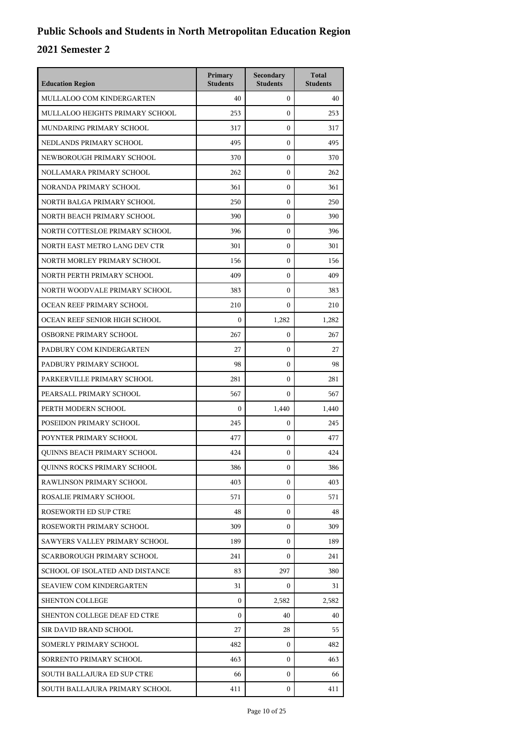| <b>Education Region</b>            | Primary<br><b>Students</b> | Secondary<br><b>Students</b> | <b>Total</b><br><b>Students</b> |
|------------------------------------|----------------------------|------------------------------|---------------------------------|
| MULLALOO COM KINDERGARTEN          | 40                         | $\overline{0}$               | 40                              |
| MULLALOO HEIGHTS PRIMARY SCHOOL    | 253                        | $\Omega$                     | 253                             |
| MUNDARING PRIMARY SCHOOL           | 317                        | $\mathbf{0}$                 | 317                             |
| NEDLANDS PRIMARY SCHOOL            | 495                        | $\mathbf{0}$                 | 495                             |
| NEWBOROUGH PRIMARY SCHOOL          | 370                        | $\mathbf{0}$                 | 370                             |
| NOLLAMARA PRIMARY SCHOOL           | 262                        | $\mathbf{0}$                 | 262                             |
| NORANDA PRIMARY SCHOOL             | 361                        | $\mathbf{0}$                 | 361                             |
| NORTH BALGA PRIMARY SCHOOL         | 250                        | $\mathbf{0}$                 | 250                             |
| NORTH BEACH PRIMARY SCHOOL         | 390                        | $\mathbf{0}$                 | 390                             |
| NORTH COTTESLOE PRIMARY SCHOOL     | 396                        | $\mathbf{0}$                 | 396                             |
| NORTH EAST METRO LANG DEV CTR      | 301                        | $\mathbf{0}$                 | 301                             |
| NORTH MORLEY PRIMARY SCHOOL        | 156                        | $\mathbf{0}$                 | 156                             |
| NORTH PERTH PRIMARY SCHOOL         | 409                        | $\mathbf{0}$                 | 409                             |
| NORTH WOODVALE PRIMARY SCHOOL      | 383                        | $\mathbf{0}$                 | 383                             |
| OCEAN REEF PRIMARY SCHOOL          | 210                        | $\Omega$                     | 210                             |
| OCEAN REEF SENIOR HIGH SCHOOL      | $\mathbf{0}$               | 1,282                        | 1,282                           |
| OSBORNE PRIMARY SCHOOL             | 267                        | $\mathbf{0}$                 | 267                             |
| PADBURY COM KINDERGARTEN           | 27                         | $\mathbf{0}$                 | 27                              |
| PADBURY PRIMARY SCHOOL             | 98                         | $\mathbf{0}$                 | 98                              |
| PARKERVILLE PRIMARY SCHOOL         | 281                        | $\mathbf{0}$                 | 281                             |
| PEARSALL PRIMARY SCHOOL            | 567                        | $\mathbf{0}$                 | 567                             |
| PERTH MODERN SCHOOL                | $\mathbf{0}$               | 1,440                        | 1,440                           |
| POSEIDON PRIMARY SCHOOL            | 245                        | $\mathbf{0}$                 | 245                             |
| POYNTER PRIMARY SCHOOL             | 477                        | $\mathbf{0}$                 | 477                             |
| <b>OUINNS BEACH PRIMARY SCHOOL</b> | 424                        | $\mathbf{0}$                 | 424                             |
| <b>OUINNS ROCKS PRIMARY SCHOOL</b> | 386                        | 0                            | 386                             |
| RAWLINSON PRIMARY SCHOOL           | 403                        | $\Omega$                     | 403                             |
| ROSALIE PRIMARY SCHOOL             | 571                        | $\mathbf{0}$                 | 571                             |
| ROSEWORTH ED SUP CTRE              | 48                         | $\mathbf{0}$                 | 48                              |
| ROSEWORTH PRIMARY SCHOOL           | 309                        | $\mathbf{0}$                 | 309                             |
| SAWYERS VALLEY PRIMARY SCHOOL      | 189                        | 0                            | 189                             |
| <b>SCARBOROUGH PRIMARY SCHOOL</b>  | 241                        | $\Omega$                     | 241                             |
| SCHOOL OF ISOLATED AND DISTANCE    | 83                         | 297                          | 380                             |
| <b>SEAVIEW COM KINDERGARTEN</b>    | 31                         | $\mathbf{0}$                 | 31                              |
| <b>SHENTON COLLEGE</b>             | $\mathbf{0}$               | 2,582                        | 2,582                           |
| SHENTON COLLEGE DEAF ED CTRE       | $\Omega$                   | 40                           | 40                              |
| SIR DAVID BRAND SCHOOL             | 27                         | 28                           | 55                              |
| SOMERLY PRIMARY SCHOOL             | 482                        | 0                            | 482                             |
| SORRENTO PRIMARY SCHOOL            | 463                        | 0                            | 463                             |
| SOUTH BALLAJURA ED SUP CTRE        | 66                         | $\mathbf{0}$                 | 66                              |
| SOUTH BALLAJURA PRIMARY SCHOOL     | 411                        | $\mathbf{0}$                 | 411                             |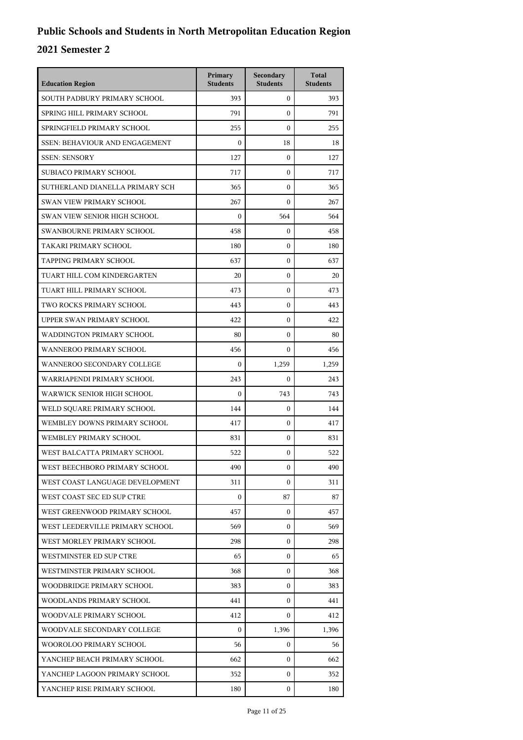| <b>Education Region</b>               | Primary<br><b>Students</b> | Secondary<br><b>Students</b> | <b>Total</b><br><b>Students</b> |
|---------------------------------------|----------------------------|------------------------------|---------------------------------|
| SOUTH PADBURY PRIMARY SCHOOL          | 393                        | $\mathbf{0}$                 | 393                             |
| SPRING HILL PRIMARY SCHOOL            | 791                        | $\mathbf{0}$                 | 791                             |
| SPRINGFIELD PRIMARY SCHOOL            | 255                        | $\mathbf{0}$                 | 255                             |
| <b>SSEN: BEHAVIOUR AND ENGAGEMENT</b> | $\boldsymbol{0}$           | 18                           | 18                              |
| <b>SSEN: SENSORY</b>                  | 127                        | $\mathbf{0}$                 | 127                             |
| SUBIACO PRIMARY SCHOOL                | 717                        | $\mathbf{0}$                 | 717                             |
| SUTHERLAND DIANELLA PRIMARY SCH       | 365                        | $\mathbf{0}$                 | 365                             |
| <b>SWAN VIEW PRIMARY SCHOOL</b>       | 267                        | $\mathbf{0}$                 | 267                             |
| SWAN VIEW SENIOR HIGH SCHOOL          | $\boldsymbol{0}$           | 564                          | 564                             |
| SWANBOURNE PRIMARY SCHOOL             | 458                        | $\mathbf{0}$                 | 458                             |
| TAKARI PRIMARY SCHOOL                 | 180                        | $\mathbf{0}$                 | 180                             |
| <b>TAPPING PRIMARY SCHOOL</b>         | 637                        | $\mathbf{0}$                 | 637                             |
| TUART HILL COM KINDERGARTEN           | 20                         | $\mathbf{0}$                 | 20                              |
| TUART HILL PRIMARY SCHOOL             | 473                        | $\boldsymbol{0}$             | 473                             |
| TWO ROCKS PRIMARY SCHOOL              | 443                        | $\boldsymbol{0}$             | 443                             |
| UPPER SWAN PRIMARY SCHOOL             | 422                        | $\mathbf{0}$                 | 422                             |
| WADDINGTON PRIMARY SCHOOL             | 80                         | $\mathbf{0}$                 | 80                              |
| WANNEROO PRIMARY SCHOOL               | 456                        | $\boldsymbol{0}$             | 456                             |
| WANNEROO SECONDARY COLLEGE            | $\boldsymbol{0}$           | 1,259                        | 1,259                           |
| WARRIAPENDI PRIMARY SCHOOL            | 243                        | $\mathbf{0}$                 | 243                             |
| WARWICK SENIOR HIGH SCHOOL            | $\boldsymbol{0}$           | 743                          | 743                             |
| WELD SQUARE PRIMARY SCHOOL            | 144                        | $\boldsymbol{0}$             | 144                             |
| WEMBLEY DOWNS PRIMARY SCHOOL          | 417                        | $\boldsymbol{0}$             | 417                             |
| WEMBLEY PRIMARY SCHOOL                | 831                        | $\boldsymbol{0}$             | 831                             |
| WEST BALCATTA PRIMARY SCHOOL          | 522                        | $\boldsymbol{0}$             | 522                             |
| WEST BEECHBORO PRIMARY SCHOOL         | 490                        | $\boldsymbol{0}$             | 490                             |
| WEST COAST LANGUAGE DEVELOPMENT       | 311                        | $\mathbf{0}$                 | 311                             |
| WEST COAST SEC ED SUP CTRE            | $\boldsymbol{0}$           | 87                           | 87                              |
| WEST GREENWOOD PRIMARY SCHOOL         | 457                        | 0                            | 457                             |
| WEST LEEDERVILLE PRIMARY SCHOOL       | 569                        | $\mathbf{0}$                 | 569                             |
| WEST MORLEY PRIMARY SCHOOL            | 298                        | $\mathbf{0}$                 | 298                             |
| WESTMINSTER ED SUP CTRE               | 65                         | $\mathbf{0}$                 | 65                              |
| WESTMINSTER PRIMARY SCHOOL            | 368                        | $\mathbf{0}$                 | 368                             |
| WOODBRIDGE PRIMARY SCHOOL             | 383                        | 0                            | 383                             |
| WOODLANDS PRIMARY SCHOOL              | 441                        | $\mathbf{0}$                 | 441                             |
| WOODVALE PRIMARY SCHOOL               | 412                        | 0                            | 412                             |
| WOODVALE SECONDARY COLLEGE            | $\mathbf{0}$               | 1,396                        | 1,396                           |
| WOOROLOO PRIMARY SCHOOL               | 56                         | $\mathbf{0}$                 | 56                              |
| YANCHEP BEACH PRIMARY SCHOOL          | 662                        | 0                            | 662                             |
| YANCHEP LAGOON PRIMARY SCHOOL         | 352                        | $\mathbf{0}$                 | 352                             |
| YANCHEP RISE PRIMARY SCHOOL           | 180                        | 0                            | 180                             |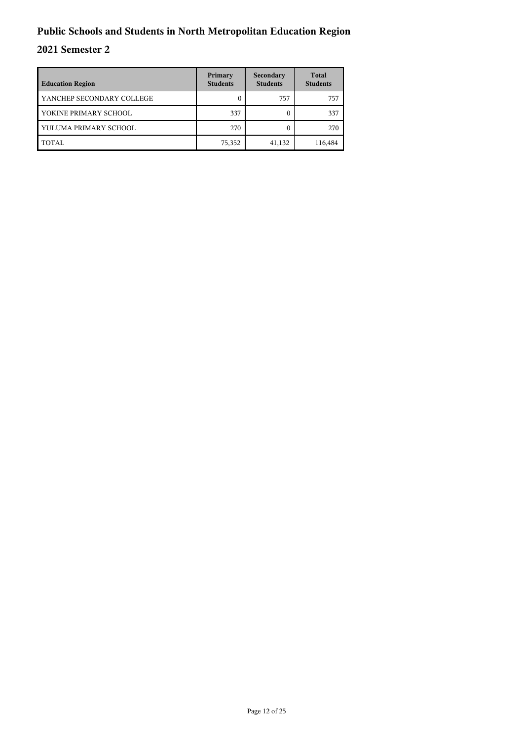| <b>Education Region</b>   | Primary<br><b>Students</b> | Secondary<br><b>Students</b> | <b>Total</b><br><b>Students</b> |
|---------------------------|----------------------------|------------------------------|---------------------------------|
| YANCHEP SECONDARY COLLEGE |                            | 757                          | 757                             |
| YOKINE PRIMARY SCHOOL     | 337                        |                              | 337                             |
| YULUMA PRIMARY SCHOOL     | 270                        |                              | 270                             |
| TOTAL                     | 75,352                     | 41,132                       | 116,484                         |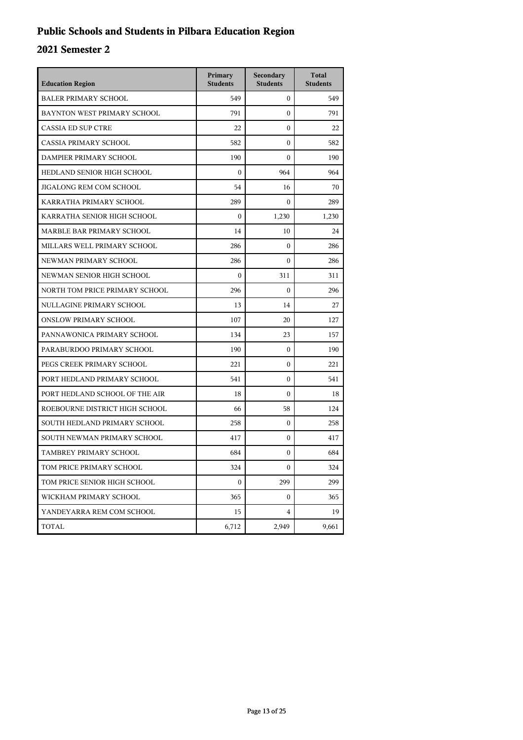## **Public Schools and Students in Pilbara Education Region**

| <b>Education Region</b>        | Primary<br><b>Students</b> | Secondary<br><b>Students</b> | <b>Total</b><br><b>Students</b> |
|--------------------------------|----------------------------|------------------------------|---------------------------------|
| <b>BALER PRIMARY SCHOOL</b>    | 549                        | $\boldsymbol{0}$             | 549                             |
| BAYNTON WEST PRIMARY SCHOOL    | 791                        | $\mathbf{0}$                 | 791                             |
| <b>CASSIA ED SUP CTRE</b>      | 22                         | $\mathbf{0}$                 | 22                              |
| <b>CASSIA PRIMARY SCHOOL</b>   | 582                        | $\theta$                     | 582                             |
| DAMPIER PRIMARY SCHOOL         | 190                        | $\Omega$                     | 190                             |
| HEDLAND SENIOR HIGH SCHOOL     | $\mathbf{0}$               | 964                          | 964                             |
| JIGALONG REM COM SCHOOL        | 54                         | 16                           | 70                              |
| KARRATHA PRIMARY SCHOOL        | 289                        | $\mathbf{0}$                 | 289                             |
| KARRATHA SENIOR HIGH SCHOOL    | $\mathbf{0}$               | 1,230                        | 1,230                           |
| MARBLE BAR PRIMARY SCHOOL      | 14                         | 10                           | 24                              |
| MILLARS WELL PRIMARY SCHOOL    | 286                        | $\mathbf{0}$                 | 286                             |
| NEWMAN PRIMARY SCHOOL          | 286                        | $\mathbf{0}$                 | 286                             |
| NEWMAN SENIOR HIGH SCHOOL      | $\mathbf{0}$               | 311                          | 311                             |
| NORTH TOM PRICE PRIMARY SCHOOL | 296                        | $\theta$                     | 296                             |
| NULLAGINE PRIMARY SCHOOL       | 13                         | 14                           | 27                              |
| <b>ONSLOW PRIMARY SCHOOL</b>   | 107                        | 20                           | 127                             |
| PANNAWONICA PRIMARY SCHOOL     | 134                        | 23                           | 157                             |
| PARABURDOO PRIMARY SCHOOL      | 190                        | $\mathbf{0}$                 | 190                             |
| PEGS CREEK PRIMARY SCHOOL      | 221                        | $\mathbf{0}$                 | 221                             |
| PORT HEDLAND PRIMARY SCHOOL    | 541                        | $\mathbf{0}$                 | 541                             |
| PORT HEDLAND SCHOOL OF THE AIR | 18                         | $\Omega$                     | 18                              |
| ROEBOURNE DISTRICT HIGH SCHOOL | 66                         | 58                           | 124                             |
| SOUTH HEDLAND PRIMARY SCHOOL   | 258                        | $\mathbf{0}$                 | 258                             |
| SOUTH NEWMAN PRIMARY SCHOOL    | 417                        | $\mathbf{0}$                 | 417                             |
| TAMBREY PRIMARY SCHOOL         | 684                        | $\mathbf{0}$                 | 684                             |
| TOM PRICE PRIMARY SCHOOL       | 324                        | $\boldsymbol{0}$             | 324                             |
| TOM PRICE SENIOR HIGH SCHOOL   | $\boldsymbol{0}$           | 299                          | 299                             |
| WICKHAM PRIMARY SCHOOL         | 365                        | $\mathbf{0}$                 | 365                             |
| YANDEYARRA REM COM SCHOOL      | 15                         | $\overline{4}$               | 19                              |
| <b>TOTAL</b>                   | 6,712                      | 2,949                        | 9,661                           |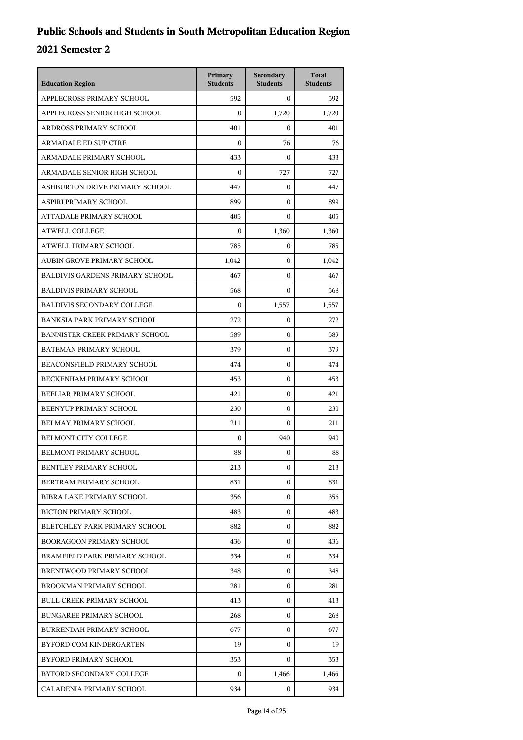| <b>Education Region</b>                | Primary<br><b>Students</b> | Secondary<br><b>Students</b> | <b>Total</b><br><b>Students</b> |
|----------------------------------------|----------------------------|------------------------------|---------------------------------|
| APPLECROSS PRIMARY SCHOOL              | 592                        | $\mathbf{0}$                 | 592                             |
| APPLECROSS SENIOR HIGH SCHOOL          | $\mathbf{0}$               | 1,720                        | 1,720                           |
| ARDROSS PRIMARY SCHOOL                 | 401                        | $\Omega$                     | 401                             |
| <b>ARMADALE ED SUP CTRE</b>            | $\mathbf{0}$               | 76                           | 76                              |
| ARMADALE PRIMARY SCHOOL                | 433                        | $\Omega$                     | 433                             |
| ARMADALE SENIOR HIGH SCHOOL            | $\mathbf{0}$               | 727                          | 727                             |
| ASHBURTON DRIVE PRIMARY SCHOOL         | 447                        | $\mathbf{0}$                 | 447                             |
| ASPIRI PRIMARY SCHOOL                  | 899                        | $\theta$                     | 899                             |
| ATTADALE PRIMARY SCHOOL                | 405                        | $\mathbf{0}$                 | 405                             |
| <b>ATWELL COLLEGE</b>                  | $\boldsymbol{0}$           | 1,360                        | 1,360                           |
| ATWELL PRIMARY SCHOOL                  | 785                        | $\mathbf{0}$                 | 785                             |
| AUBIN GROVE PRIMARY SCHOOL             | 1,042                      | $\mathbf{0}$                 | 1,042                           |
| <b>BALDIVIS GARDENS PRIMARY SCHOOL</b> | 467                        | $\theta$                     | 467                             |
| <b>BALDIVIS PRIMARY SCHOOL</b>         | 568                        | $\mathbf{0}$                 | 568                             |
| <b>BALDIVIS SECONDARY COLLEGE</b>      | $\mathbf{0}$               | 1,557                        | 1,557                           |
| <b>BANKSIA PARK PRIMARY SCHOOL</b>     | 272                        | $\mathbf{0}$                 | 272                             |
| <b>BANNISTER CREEK PRIMARY SCHOOL</b>  | 589                        | $\mathbf{0}$                 | 589                             |
| BATEMAN PRIMARY SCHOOL                 | 379                        | $\mathbf{0}$                 | 379                             |
| BEACONSFIELD PRIMARY SCHOOL            | 474                        | $\mathbf{0}$                 | 474                             |
| BECKENHAM PRIMARY SCHOOL               | 453                        | $\mathbf{0}$                 | 453                             |
| BEELIAR PRIMARY SCHOOL                 | 421                        | $\mathbf{0}$                 | 421                             |
| BEENYUP PRIMARY SCHOOL                 | 230                        | $\mathbf{0}$                 | 230                             |
| BELMAY PRIMARY SCHOOL                  | 211                        | $\theta$                     | 211                             |
| <b>BELMONT CITY COLLEGE</b>            | $\mathbf{0}$               | 940                          | 940                             |
| BELMONT PRIMARY SCHOOL                 | 88                         | $\mathbf{0}$                 | 88                              |
| BENTLEY PRIMARY SCHOOL                 | 213                        | 0                            | 213                             |
| BERTRAM PRIMARY SCHOOL                 | 831                        | $\mathbf{0}$                 | 831                             |
| BIBRA LAKE PRIMARY SCHOOL              | 356                        | $\mathbf{0}$                 | 356                             |
| <b>BICTON PRIMARY SCHOOL</b>           | 483                        | 0                            | 483                             |
| BLETCHLEY PARK PRIMARY SCHOOL          | 882                        | $\mathbf{0}$                 | 882                             |
| <b>BOORAGOON PRIMARY SCHOOL</b>        | 436                        | 0                            | 436                             |
| BRAMFIELD PARK PRIMARY SCHOOL          | 334                        | $\mathbf{0}$                 | 334                             |
| BRENTWOOD PRIMARY SCHOOL               | 348                        | $\mathbf{0}$                 | 348                             |
| BROOKMAN PRIMARY SCHOOL                | 281                        | 0                            | 281                             |
| <b>BULL CREEK PRIMARY SCHOOL</b>       | 413                        | $\mathbf{0}$                 | 413                             |
| <b>BUNGAREE PRIMARY SCHOOL</b>         | 268                        | 0                            | 268                             |
| <b>BURRENDAH PRIMARY SCHOOL</b>        | 677                        | $\Omega$                     | 677                             |
| BYFORD COM KINDERGARTEN                | 19                         | $\mathbf{0}$                 | 19                              |
| BYFORD PRIMARY SCHOOL                  | 353                        | $\mathbf{0}$                 | 353                             |
| BYFORD SECONDARY COLLEGE               | $\mathbf{0}$               | 1,466                        | 1,466                           |
| CALADENIA PRIMARY SCHOOL               | 934                        | 0                            | 934                             |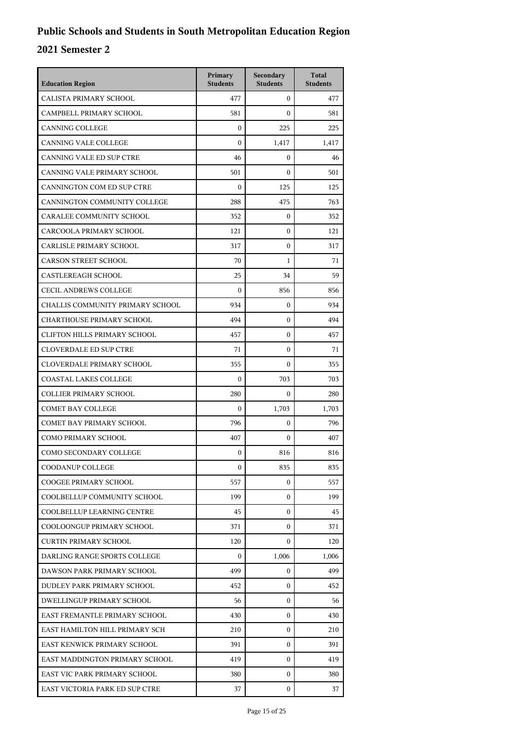| <b>Education Region</b>             | Primary<br><b>Students</b> | Secondary<br><b>Students</b> | <b>Total</b><br><b>Students</b> |
|-------------------------------------|----------------------------|------------------------------|---------------------------------|
| CALISTA PRIMARY SCHOOL              | 477                        | $\mathbf{0}$                 | 477                             |
| CAMPBELL PRIMARY SCHOOL             | 581                        | $\mathbf{0}$                 | 581                             |
| <b>CANNING COLLEGE</b>              | $\overline{0}$             | 225                          | 225                             |
| CANNING VALE COLLEGE                | $\boldsymbol{0}$           | 1,417                        | 1,417                           |
| CANNING VALE ED SUP CTRE            | 46                         | $\mathbf{0}$                 | 46                              |
| CANNING VALE PRIMARY SCHOOL         | 501                        | $\mathbf{0}$                 | 501                             |
| CANNINGTON COM ED SUP CTRE          | $\mathbf{0}$               | 125                          | 125                             |
| CANNINGTON COMMUNITY COLLEGE        | 288                        | 475                          | 763                             |
| CARALEE COMMUNITY SCHOOL            | 352                        | $\boldsymbol{0}$             | 352                             |
| CARCOOLA PRIMARY SCHOOL             | 121                        | $\mathbf{0}$                 | 121                             |
| CARLISLE PRIMARY SCHOOL             | 317                        | $\mathbf{0}$                 | 317                             |
| <b>CARSON STREET SCHOOL</b>         | 70                         | 1                            | 71                              |
| <b>CASTLEREAGH SCHOOL</b>           | 25                         | 34                           | 59                              |
| <b>CECIL ANDREWS COLLEGE</b>        | $\boldsymbol{0}$           | 856                          | 856                             |
| CHALLIS COMMUNITY PRIMARY SCHOOL    | 934                        | $\mathbf{0}$                 | 934                             |
| <b>CHARTHOUSE PRIMARY SCHOOL</b>    | 494                        | $\mathbf{0}$                 | 494                             |
| <b>CLIFTON HILLS PRIMARY SCHOOL</b> | 457                        | $\mathbf{0}$                 | 457                             |
| <b>CLOVERDALE ED SUP CTRE</b>       | 71                         | $\mathbf{0}$                 | 71                              |
| <b>CLOVERDALE PRIMARY SCHOOL</b>    | 355                        | $\mathbf{0}$                 | 355                             |
| <b>COASTAL LAKES COLLEGE</b>        | $\boldsymbol{0}$           | 703                          | 703                             |
| <b>COLLIER PRIMARY SCHOOL</b>       | 280                        | $\mathbf{0}$                 | 280                             |
| COMET BAY COLLEGE                   | $\mathbf{0}$               | 1,703                        | 1,703                           |
| COMET BAY PRIMARY SCHOOL            | 796                        | $\mathbf{0}$                 | 796                             |
| <b>COMO PRIMARY SCHOOL</b>          | 407                        | $\mathbf{0}$                 | 407                             |
| COMO SECONDARY COLLEGE              | $\boldsymbol{0}$           | 816                          | 816                             |
| <b>COODANUP COLLEGE</b>             | 0                          | 835                          | 835                             |
| COOGEE PRIMARY SCHOOL               | 557                        | $\mathbf{0}$                 | 557                             |
| COOLBELLUP COMMUNITY SCHOOL         | 199                        | $\mathbf{0}$                 | 199                             |
| COOLBELLUP LEARNING CENTRE          | 45                         | 0                            | 45                              |
| COOLOONGUP PRIMARY SCHOOL           | 371                        | 0                            | 371                             |
| <b>CURTIN PRIMARY SCHOOL</b>        | 120                        | 0                            | 120                             |
| DARLING RANGE SPORTS COLLEGE        | $\overline{0}$             | 1,006                        | 1,006                           |
| DAWSON PARK PRIMARY SCHOOL          | 499                        | $\mathbf{0}$                 | 499                             |
| DUDLEY PARK PRIMARY SCHOOL          | 452                        | 0                            | 452                             |
| DWELLINGUP PRIMARY SCHOOL           | 56                         | 0                            | 56                              |
| EAST FREMANTLE PRIMARY SCHOOL       | 430                        | 0                            | 430                             |
| EAST HAMILTON HILL PRIMARY SCH      | 210                        | $\mathbf{0}$                 | 210                             |
| EAST KENWICK PRIMARY SCHOOL         | 391                        | $\mathbf{0}$                 | 391                             |
| EAST MADDINGTON PRIMARY SCHOOL      | 419                        | $\mathbf{0}$                 | 419                             |
| EAST VIC PARK PRIMARY SCHOOL        | 380                        | 0                            | 380                             |
| EAST VICTORIA PARK ED SUP CTRE      | 37                         | $\mathbf{0}$                 | 37                              |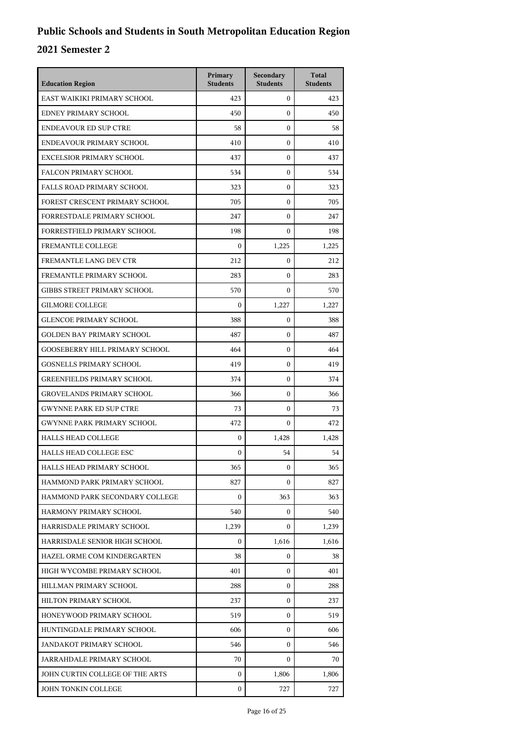| <b>Education Region</b>               | Primary<br><b>Students</b> | Secondary<br><b>Students</b> | <b>Total</b><br><b>Students</b> |
|---------------------------------------|----------------------------|------------------------------|---------------------------------|
| EAST WAIKIKI PRIMARY SCHOOL           | 423                        | $\mathbf{0}$                 | 423                             |
| EDNEY PRIMARY SCHOOL                  | 450                        | $\mathbf{0}$                 | 450                             |
| <b>ENDEAVOUR ED SUP CTRE</b>          | 58                         | $\mathbf{0}$                 | 58                              |
| ENDEAVOUR PRIMARY SCHOOL              | 410                        | $\mathbf{0}$                 | 410                             |
| EXCELSIOR PRIMARY SCHOOL              | 437                        | $\mathbf{0}$                 | 437                             |
| FALCON PRIMARY SCHOOL                 | 534                        | $\mathbf{0}$                 | 534                             |
| <b>FALLS ROAD PRIMARY SCHOOL</b>      | 323                        | $\mathbf{0}$                 | 323                             |
| FOREST CRESCENT PRIMARY SCHOOL        | 705                        | $\mathbf{0}$                 | 705                             |
| FORRESTDALE PRIMARY SCHOOL            | 247                        | $\mathbf{0}$                 | 247                             |
| FORRESTFIELD PRIMARY SCHOOL           | 198                        | $\mathbf{0}$                 | 198                             |
| FREMANTLE COLLEGE                     | $\boldsymbol{0}$           | 1,225                        | 1,225                           |
| FREMANTLE LANG DEV CTR                | 212                        | $\mathbf{0}$                 | 212                             |
| FREMANTLE PRIMARY SCHOOL              | 283                        | $\mathbf{0}$                 | 283                             |
| <b>GIBBS STREET PRIMARY SCHOOL</b>    | 570                        | $\mathbf{0}$                 | 570                             |
| <b>GILMORE COLLEGE</b>                | $\boldsymbol{0}$           | 1,227                        | 1,227                           |
| <b>GLENCOE PRIMARY SCHOOL</b>         | 388                        | $\mathbf{0}$                 | 388                             |
| <b>GOLDEN BAY PRIMARY SCHOOL</b>      | 487                        | $\mathbf{0}$                 | 487                             |
| <b>GOOSEBERRY HILL PRIMARY SCHOOL</b> | 464                        | $\mathbf{0}$                 | 464                             |
| <b>GOSNELLS PRIMARY SCHOOL</b>        | 419                        | $\mathbf{0}$                 | 419                             |
| <b>GREENFIELDS PRIMARY SCHOOL</b>     | 374                        | $\mathbf{0}$                 | 374                             |
| <b>GROVELANDS PRIMARY SCHOOL</b>      | 366                        | $\mathbf{0}$                 | 366                             |
| <b>GWYNNE PARK ED SUP CTRE</b>        | 73                         | $\mathbf{0}$                 | 73                              |
| <b>GWYNNE PARK PRIMARY SCHOOL</b>     | 472                        | $\mathbf{0}$                 | 472                             |
| <b>HALLS HEAD COLLEGE</b>             | $\boldsymbol{0}$           | 1,428                        | 1,428                           |
| <b>HALLS HEAD COLLEGE ESC</b>         | $\boldsymbol{0}$           | 54                           | 54                              |
| HALLS HEAD PRIMARY SCHOOL             | 365                        | $\boldsymbol{0}$             | 365                             |
| HAMMOND PARK PRIMARY SCHOOL           | 827                        | $\mathbf{0}$                 | 827                             |
| HAMMOND PARK SECONDARY COLLEGE        | $\boldsymbol{0}$           | 363                          | 363                             |
| HARMONY PRIMARY SCHOOL                | 540                        | 0                            | 540                             |
| HARRISDALE PRIMARY SCHOOL             | 1,239                      | $\mathbf{0}$                 | 1,239                           |
| HARRISDALE SENIOR HIGH SCHOOL         | $\mathbf{0}$               | 1,616                        | 1,616                           |
| HAZEL ORME COM KINDERGARTEN           | 38                         | $\mathbf{0}$                 | 38                              |
| HIGH WYCOMBE PRIMARY SCHOOL           | 401                        | $\mathbf{0}$                 | 401                             |
| HILLMAN PRIMARY SCHOOL                | 288                        | 0                            | 288                             |
| HILTON PRIMARY SCHOOL                 | 237                        | $\mathbf{0}$                 | 237                             |
| HONEYWOOD PRIMARY SCHOOL              | 519                        | $\mathbf{0}$                 | 519                             |
| HUNTINGDALE PRIMARY SCHOOL            | 606                        | $\mathbf{0}$                 | 606                             |
| JANDAKOT PRIMARY SCHOOL               | 546                        | $\mathbf{0}$                 | 546                             |
| JARRAHDALE PRIMARY SCHOOL             | 70                         | 0                            | 70                              |
| JOHN CURTIN COLLEGE OF THE ARTS       | $\mathbf{0}$               | 1,806                        | 1,806                           |
| JOHN TONKIN COLLEGE                   | $\mathbf{0}$               | 727                          | 727                             |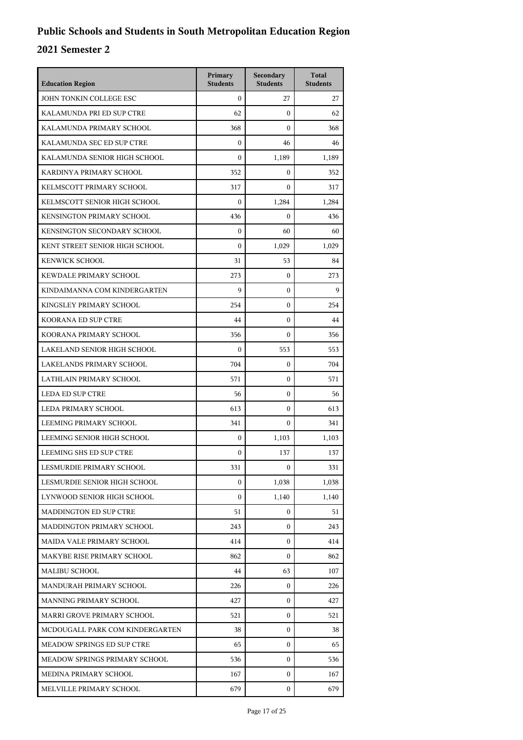| <b>Education Region</b>           | Primary<br><b>Students</b> | Secondary<br><b>Students</b> | <b>Total</b><br><b>Students</b> |
|-----------------------------------|----------------------------|------------------------------|---------------------------------|
| JOHN TONKIN COLLEGE ESC           | $\mathbf{0}$               | 27                           | 27                              |
| KALAMUNDA PRI ED SUP CTRE         | 62                         | $\mathbf{0}$                 | 62                              |
| KALAMUNDA PRIMARY SCHOOL          | 368                        | $\mathbf{0}$                 | 368                             |
| KALAMUNDA SEC ED SUP CTRE         | $\mathbf{0}$               | 46                           | 46                              |
| KALAMUNDA SENIOR HIGH SCHOOL      | $\Omega$                   | 1,189                        | 1,189                           |
| KARDINYA PRIMARY SCHOOL           | 352                        | $\mathbf{0}$                 | 352                             |
| KELMSCOTT PRIMARY SCHOOL          | 317                        | $\mathbf{0}$                 | 317                             |
| KELMSCOTT SENIOR HIGH SCHOOL      | $\mathbf{0}$               | 1,284                        | 1,284                           |
| <b>KENSINGTON PRIMARY SCHOOL</b>  | 436                        | $\mathbf{0}$                 | 436                             |
| KENSINGTON SECONDARY SCHOOL       | $\mathbf{0}$               | 60                           | 60                              |
| KENT STREET SENIOR HIGH SCHOOL    | $\mathbf{0}$               | 1,029                        | 1,029                           |
| <b>KENWICK SCHOOL</b>             | 31                         | 53                           | 84                              |
| KEWDALE PRIMARY SCHOOL            | 273                        | $\mathbf{0}$                 | 273                             |
| KINDAIMANNA COM KINDERGARTEN      | 9                          | $\mathbf{0}$                 | 9                               |
| KINGSLEY PRIMARY SCHOOL           | 254                        | $\mathbf{0}$                 | 254                             |
| <b>KOORANA ED SUP CTRE</b>        | 44                         | $\mathbf{0}$                 | 44                              |
| KOORANA PRIMARY SCHOOL            | 356                        | $\mathbf{0}$                 | 356                             |
| LAKELAND SENIOR HIGH SCHOOL       | $\mathbf{0}$               | 553                          | 553                             |
| LAKELANDS PRIMARY SCHOOL          | 704                        | $\mathbf{0}$                 | 704                             |
| LATHLAIN PRIMARY SCHOOL           | 571                        | $\mathbf{0}$                 | 571                             |
| LEDA ED SUP CTRE                  | 56                         | $\mathbf{0}$                 | 56                              |
| LEDA PRIMARY SCHOOL               | 613                        | $\mathbf{0}$                 | 613                             |
| LEEMING PRIMARY SCHOOL            | 341                        | $\mathbf{0}$                 | 341                             |
| LEEMING SENIOR HIGH SCHOOL        | $\mathbf{0}$               | 1,103                        | 1,103                           |
| LEEMING SHS ED SUP CTRE           | $\mathbf{0}$               | 137                          | 137                             |
| LESMURDIE PRIMARY SCHOOL          | 331                        | 0                            | 331                             |
| LESMURDIE SENIOR HIGH SCHOOL      | $\mathbf{0}$               | 1,038                        | 1,038                           |
| LYNWOOD SENIOR HIGH SCHOOL        | $\mathbf{0}$               | 1,140                        | 1,140                           |
| <b>MADDINGTON ED SUP CTRE</b>     | 51                         | $\mathbf{0}$                 | 51                              |
| MADDINGTON PRIMARY SCHOOL         | 243                        | $\mathbf{0}$                 | 243                             |
| MAIDA VALE PRIMARY SCHOOL         | 414                        | $\mathbf{0}$                 | 414                             |
| MAKYBE RISE PRIMARY SCHOOL        | 862                        | $\mathbf{0}$                 | 862                             |
| <b>MALIBU SCHOOL</b>              | 44                         | 63                           | 107                             |
| MANDURAH PRIMARY SCHOOL           | 226                        | 0                            | 226                             |
| MANNING PRIMARY SCHOOL            | 427                        | $\mathbf{0}$                 | 427                             |
| MARRI GROVE PRIMARY SCHOOL        | 521                        | $\mathbf{0}$                 | 521                             |
| MCDOUGALL PARK COM KINDERGARTEN   | 38                         | $\mathbf{0}$                 | 38                              |
| <b>MEADOW SPRINGS ED SUP CTRE</b> | 65                         | $\mathbf{0}$                 | 65                              |
| MEADOW SPRINGS PRIMARY SCHOOL     | 536                        | 0                            | 536                             |
| MEDINA PRIMARY SCHOOL             | 167                        | $\mathbf{0}$                 | 167                             |
| MELVILLE PRIMARY SCHOOL           | 679                        | 0                            | 679                             |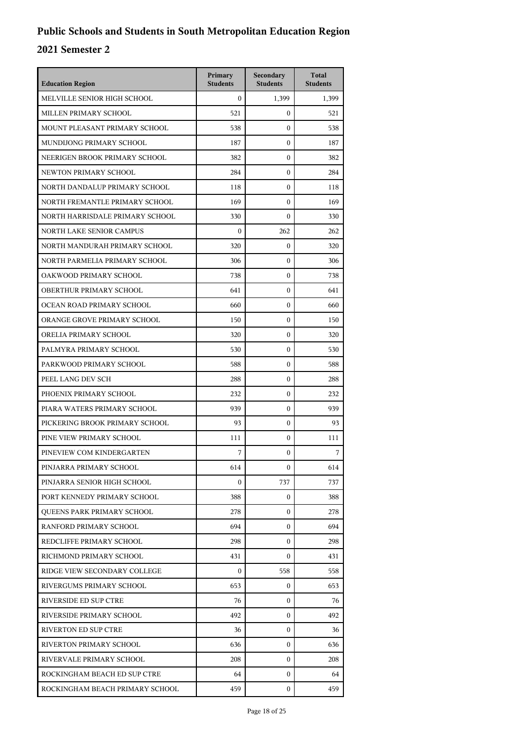| <b>Education Region</b>         | Primary<br><b>Students</b> | Secondary<br><b>Students</b> | <b>Total</b><br><b>Students</b> |
|---------------------------------|----------------------------|------------------------------|---------------------------------|
| MELVILLE SENIOR HIGH SCHOOL     | $\mathbf{0}$               | 1.399                        | 1,399                           |
| MILLEN PRIMARY SCHOOL           | 521                        | $\mathbf{0}$                 | 521                             |
| MOUNT PLEASANT PRIMARY SCHOOL   | 538                        | $\mathbf{0}$                 | 538                             |
| MUNDIJONG PRIMARY SCHOOL        | 187                        | $\mathbf{0}$                 | 187                             |
| NEERIGEN BROOK PRIMARY SCHOOL   | 382                        | $\mathbf{0}$                 | 382                             |
| NEWTON PRIMARY SCHOOL           | 284                        | $\mathbf{0}$                 | 284                             |
| NORTH DANDALUP PRIMARY SCHOOL   | 118                        | $\mathbf{0}$                 | 118                             |
| NORTH FREMANTLE PRIMARY SCHOOL  | 169                        | $\mathbf{0}$                 | 169                             |
| NORTH HARRISDALE PRIMARY SCHOOL | 330                        | $\mathbf{0}$                 | 330                             |
| NORTH LAKE SENIOR CAMPUS        | $\mathbf{0}$               | 262                          | 262                             |
| NORTH MANDURAH PRIMARY SCHOOL   | 320                        | $\mathbf{0}$                 | 320                             |
| NORTH PARMELIA PRIMARY SCHOOL   | 306                        | $\mathbf{0}$                 | 306                             |
| OAKWOOD PRIMARY SCHOOL          | 738                        | $\mathbf{0}$                 | 738                             |
| OBERTHUR PRIMARY SCHOOL         | 641                        | $\mathbf{0}$                 | 641                             |
| OCEAN ROAD PRIMARY SCHOOL       | 660                        | $\mathbf{0}$                 | 660                             |
| ORANGE GROVE PRIMARY SCHOOL     | 150                        | $\mathbf{0}$                 | 150                             |
| ORELIA PRIMARY SCHOOL           | 320                        | $\mathbf{0}$                 | 320                             |
| PALMYRA PRIMARY SCHOOL          | 530                        | $\mathbf{0}$                 | 530                             |
| PARKWOOD PRIMARY SCHOOL         | 588                        | $\mathbf{0}$                 | 588                             |
| PEEL LANG DEV SCH               | 288                        | $\mathbf{0}$                 | 288                             |
| PHOENIX PRIMARY SCHOOL          | 232                        | $\mathbf{0}$                 | 232                             |
| PIARA WATERS PRIMARY SCHOOL     | 939                        | $\mathbf{0}$                 | 939                             |
| PICKERING BROOK PRIMARY SCHOOL  | 93                         | $\mathbf{0}$                 | 93                              |
| PINE VIEW PRIMARY SCHOOL        | 111                        | $\mathbf{0}$                 | 111                             |
| PINEVIEW COM KINDERGARTEN       | 7                          | $\mathbf{0}$                 | 7                               |
| PINJARRA PRIMARY SCHOOL         | 614                        | 0                            | 614                             |
| PINJARRA SENIOR HIGH SCHOOL     | $\mathbf{0}$               | 737                          | 737                             |
| PORT KENNEDY PRIMARY SCHOOL     | 388                        | $\mathbf{0}$                 | 388                             |
| QUEENS PARK PRIMARY SCHOOL      | 278                        | 0                            | 278                             |
| RANFORD PRIMARY SCHOOL          | 694                        | $\mathbf{0}$                 | 694                             |
| REDCLIFFE PRIMARY SCHOOL        | 298                        | $\mathbf{0}$                 | 298                             |
| RICHMOND PRIMARY SCHOOL         | 431                        | $\mathbf{0}$                 | 431                             |
| RIDGE VIEW SECONDARY COLLEGE    | $\mathbf{0}$               | 558                          | 558                             |
| RIVERGUMS PRIMARY SCHOOL        | 653                        | 0                            | 653                             |
| RIVERSIDE ED SUP CTRE           | 76                         | $\mathbf{0}$                 | 76                              |
| RIVERSIDE PRIMARY SCHOOL        | 492                        | $\mathbf{0}$                 | 492                             |
| RIVERTON ED SUP CTRE            | 36                         | $\mathbf{0}$                 | 36                              |
| RIVERTON PRIMARY SCHOOL         | 636                        | $\mathbf{0}$                 | 636                             |
| RIVERVALE PRIMARY SCHOOL        | 208                        | $\mathbf{0}$                 | 208                             |
| ROCKINGHAM BEACH ED SUP CTRE    | 64                         | $\mathbf{0}$                 | 64                              |
| ROCKINGHAM BEACH PRIMARY SCHOOL | 459                        | $\mathbf{0}$                 | 459                             |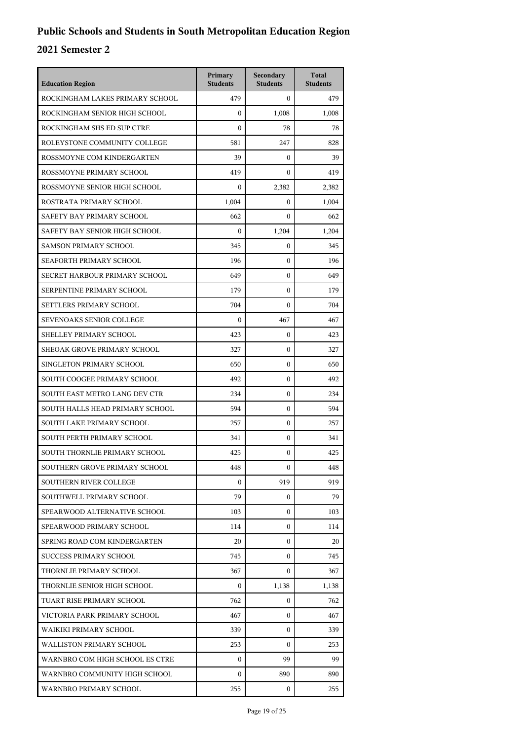| <b>Education Region</b>         | Primary<br><b>Students</b> | Secondary<br><b>Students</b> | <b>Total</b><br><b>Students</b> |
|---------------------------------|----------------------------|------------------------------|---------------------------------|
| ROCKINGHAM LAKES PRIMARY SCHOOL | 479                        | $\mathbf{0}$                 | 479                             |
| ROCKINGHAM SENIOR HIGH SCHOOL   | $\mathbf{0}$               | 1,008                        | 1,008                           |
| ROCKINGHAM SHS ED SUP CTRE      | $\mathbf{0}$               | 78                           | 78                              |
| ROLEYSTONE COMMUNITY COLLEGE    | 581                        | 247                          | 828                             |
| ROSSMOYNE COM KINDERGARTEN      | 39                         | $\mathbf{0}$                 | 39                              |
| ROSSMOYNE PRIMARY SCHOOL        | 419                        | $\mathbf{0}$                 | 419                             |
| ROSSMOYNE SENIOR HIGH SCHOOL    | $\mathbf{0}$               | 2,382                        | 2,382                           |
| ROSTRATA PRIMARY SCHOOL         | 1,004                      | $\mathbf{0}$                 | 1,004                           |
| SAFETY BAY PRIMARY SCHOOL       | 662                        | $\mathbf{0}$                 | 662                             |
| SAFETY BAY SENIOR HIGH SCHOOL   | $\Omega$                   | 1,204                        | 1,204                           |
| <b>SAMSON PRIMARY SCHOOL</b>    | 345                        | $\mathbf{0}$                 | 345                             |
| SEAFORTH PRIMARY SCHOOL         | 196                        | $\mathbf{0}$                 | 196                             |
| SECRET HARBOUR PRIMARY SCHOOL   | 649                        | $\mathbf{0}$                 | 649                             |
| SERPENTINE PRIMARY SCHOOL       | 179                        | $\mathbf{0}$                 | 179                             |
| SETTLERS PRIMARY SCHOOL         | 704                        | $\mathbf{0}$                 | 704                             |
| <b>SEVENOAKS SENIOR COLLEGE</b> | $\mathbf{0}$               | 467                          | 467                             |
| SHELLEY PRIMARY SCHOOL          | 423                        | $\mathbf{0}$                 | 423                             |
| SHEOAK GROVE PRIMARY SCHOOL     | 327                        | $\mathbf{0}$                 | 327                             |
| SINGLETON PRIMARY SCHOOL        | 650                        | $\mathbf{0}$                 | 650                             |
| SOUTH COOGEE PRIMARY SCHOOL     | 492                        | $\mathbf{0}$                 | 492                             |
| SOUTH EAST METRO LANG DEV CTR   | 234                        | $\mathbf{0}$                 | 234                             |
| SOUTH HALLS HEAD PRIMARY SCHOOL | 594                        | $\mathbf{0}$                 | 594                             |
| SOUTH LAKE PRIMARY SCHOOL       | 257                        | $\mathbf{0}$                 | 257                             |
| SOUTH PERTH PRIMARY SCHOOL      | 341                        | $\mathbf{0}$                 | 341                             |
| SOUTH THORNLIE PRIMARY SCHOOL   | 425                        | $\mathbf{0}$                 | 425                             |
| SOUTHERN GROVE PRIMARY SCHOOL   | 448                        | 0                            | 448                             |
| <b>SOUTHERN RIVER COLLEGE</b>   | $\mathbf{0}$               | 919                          | 919                             |
| SOUTHWELL PRIMARY SCHOOL        | 79                         | $\mathbf{0}$                 | 79                              |
| SPEARWOOD ALTERNATIVE SCHOOL    | 103                        | $\mathbf{0}$                 | 103                             |
| SPEARWOOD PRIMARY SCHOOL        | 114                        | $\Omega$                     | 114                             |
| SPRING ROAD COM KINDERGARTEN    | 20                         | $\Omega$                     | 20                              |
| <b>SUCCESS PRIMARY SCHOOL</b>   | 745                        | $\Omega$                     | 745                             |
| THORNLIE PRIMARY SCHOOL         | 367                        | $\mathbf{0}$                 | 367                             |
| THORNLIE SENIOR HIGH SCHOOL     | $\mathbf{0}$               | 1,138                        | 1,138                           |
| TUART RISE PRIMARY SCHOOL       | 762                        | $\mathbf{0}$                 | 762                             |
| VICTORIA PARK PRIMARY SCHOOL    | 467                        | $\Omega$                     | 467                             |
| WAIKIKI PRIMARY SCHOOL          | 339                        | $\mathbf{0}$                 | 339                             |
| WALLISTON PRIMARY SCHOOL        | 253                        | $\mathbf{0}$                 | 253                             |
| WARNBRO COM HIGH SCHOOL ES CTRE | $\mathbf{0}$               | 99                           | 99                              |
| WARNBRO COMMUNITY HIGH SCHOOL   | $\mathbf{0}$               | 890                          | 890                             |
| WARNBRO PRIMARY SCHOOL          | 255                        | 0                            | 255                             |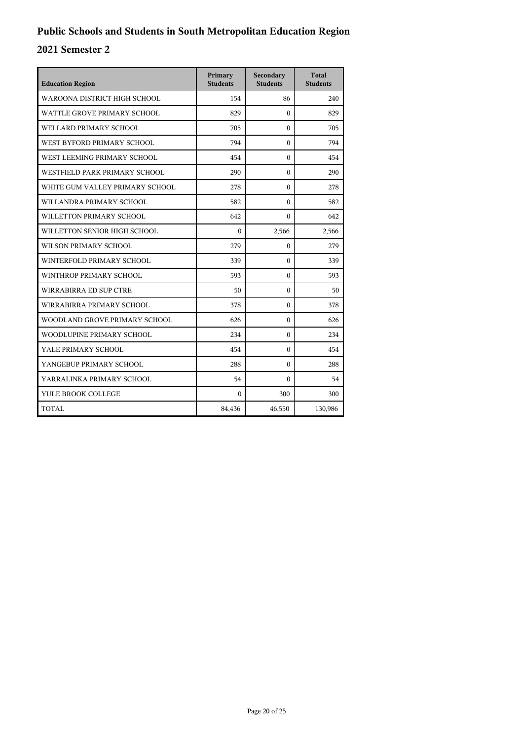| <b>Education Region</b>         | Primary<br><b>Students</b> | Secondary<br><b>Students</b> | <b>Total</b><br><b>Students</b> |
|---------------------------------|----------------------------|------------------------------|---------------------------------|
| WAROONA DISTRICT HIGH SCHOOL    | 154                        | 86                           | 240                             |
| WATTLE GROVE PRIMARY SCHOOL     | 829                        | $\Omega$                     | 829                             |
| WELLARD PRIMARY SCHOOL          | 705                        | $\Omega$                     | 705                             |
| WEST BYFORD PRIMARY SCHOOL      | 794                        | $\Omega$                     | 794                             |
| WEST LEEMING PRIMARY SCHOOL     | 454                        | $\Omega$                     | 454                             |
| WESTFIELD PARK PRIMARY SCHOOL   | 290                        | $\theta$                     | 290                             |
| WHITE GUM VALLEY PRIMARY SCHOOL | 278                        | $\Omega$                     | 278                             |
| WILLANDRA PRIMARY SCHOOL        | 582                        | $\Omega$                     | 582                             |
| WILLETTON PRIMARY SCHOOL        | 642                        | $\mathbf{0}$                 | 642                             |
| WILLETTON SENIOR HIGH SCHOOL    | $\theta$                   | 2,566                        | 2,566                           |
| WILSON PRIMARY SCHOOL           | 279                        | $\Omega$                     | 279                             |
| WINTERFOLD PRIMARY SCHOOL       | 339                        | $\Omega$                     | 339                             |
| WINTHROP PRIMARY SCHOOL         | 593                        | $\theta$                     | 593                             |
| WIRRABIRRA ED SUP CTRE          | 50                         | $\mathbf{0}$                 | 50                              |
| WIRRABIRRA PRIMARY SCHOOL       | 378                        | $\Omega$                     | 378                             |
| WOODLAND GROVE PRIMARY SCHOOL   | 626                        | $\mathbf{0}$                 | 626                             |
| WOODLUPINE PRIMARY SCHOOL       | 234                        | $\mathbf{0}$                 | 234                             |
| YALE PRIMARY SCHOOL             | 454                        | $\Omega$                     | 454                             |
| YANGEBUP PRIMARY SCHOOL         | 288                        | $\theta$                     | 288                             |
| YARRALINKA PRIMARY SCHOOL       | 54                         | $\Omega$                     | 54                              |
| YULE BROOK COLLEGE              | $\Omega$                   | 300                          | 300                             |
| TOTAL                           | 84,436                     | 46,550                       | 130,986                         |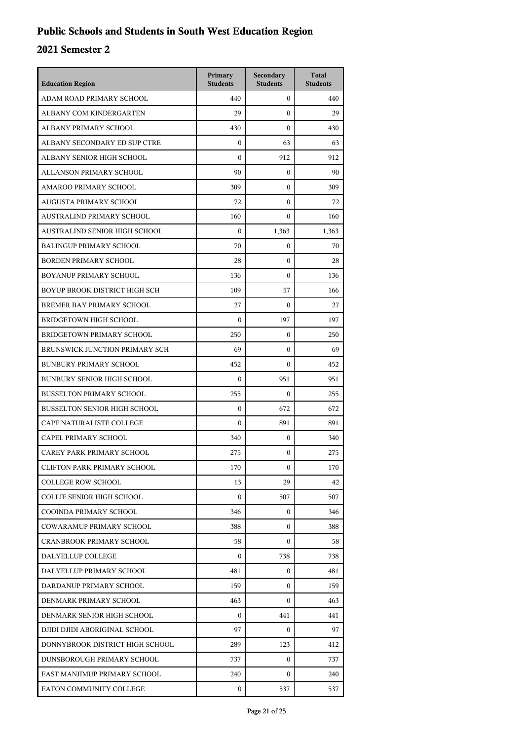| <b>Education Region</b>             | Primary<br><b>Students</b> | Secondary<br><b>Students</b> | <b>Total</b><br><b>Students</b> |
|-------------------------------------|----------------------------|------------------------------|---------------------------------|
| ADAM ROAD PRIMARY SCHOOL            | 440                        | $\mathbf{0}$                 | 440                             |
| ALBANY COM KINDERGARTEN             | 29                         | $\mathbf{0}$                 | 29                              |
| ALBANY PRIMARY SCHOOL               | 430                        | $\mathbf{0}$                 | 430                             |
| ALBANY SECONDARY ED SUP CTRE        | $\boldsymbol{0}$           | 63                           | 63                              |
| ALBANY SENIOR HIGH SCHOOL           | $\theta$                   | 912                          | 912                             |
| ALLANSON PRIMARY SCHOOL             | 90                         | $\mathbf{0}$                 | 90                              |
| AMAROO PRIMARY SCHOOL               | 309                        | $\mathbf{0}$                 | 309                             |
| AUGUSTA PRIMARY SCHOOL              | 72                         | $\mathbf{0}$                 | 72                              |
| AUSTRALIND PRIMARY SCHOOL           | 160                        | 0                            | 160                             |
| AUSTRALIND SENIOR HIGH SCHOOL       | $\boldsymbol{0}$           | 1,363                        | 1,363                           |
| <b>BALINGUP PRIMARY SCHOOL</b>      | 70                         | 0                            | 70                              |
| <b>BORDEN PRIMARY SCHOOL</b>        | 28                         | $\mathbf{0}$                 | 28                              |
| BOYANUP PRIMARY SCHOOL              | 136                        | $\mathbf{0}$                 | 136                             |
| BOYUP BROOK DISTRICT HIGH SCH       | 109                        | 57                           | 166                             |
| BREMER BAY PRIMARY SCHOOL           | 27                         | $\mathbf{0}$                 | 27                              |
| <b>BRIDGETOWN HIGH SCHOOL</b>       | $\mathbf{0}$               | 197                          | 197                             |
| <b>BRIDGETOWN PRIMARY SCHOOL</b>    | 250                        | $\mathbf{0}$                 | 250                             |
| BRUNSWICK JUNCTION PRIMARY SCH      | 69                         | $\mathbf{0}$                 | 69                              |
| <b>BUNBURY PRIMARY SCHOOL</b>       | 452                        | $\mathbf{0}$                 | 452                             |
| <b>BUNBURY SENIOR HIGH SCHOOL</b>   | $\boldsymbol{0}$           | 951                          | 951                             |
| <b>BUSSELTON PRIMARY SCHOOL</b>     | 255                        | $\mathbf{0}$                 | 255                             |
| <b>BUSSELTON SENIOR HIGH SCHOOL</b> | $\boldsymbol{0}$           | 672                          | 672                             |
| CAPE NATURALISTE COLLEGE            | $\mathbf{0}$               | 891                          | 891                             |
| CAPEL PRIMARY SCHOOL                | 340                        | $\mathbf{0}$                 | 340                             |
| CAREY PARK PRIMARY SCHOOL           | 275                        | 0                            | 275                             |
| <b>CLIFTON PARK PRIMARY SCHOOL</b>  | 170                        | 0                            | 170                             |
| <b>COLLEGE ROW SCHOOL</b>           | 13                         | 29                           | 42                              |
| <b>COLLIE SENIOR HIGH SCHOOL</b>    | $\mathbf{0}$               | 507                          | 507                             |
| COOINDA PRIMARY SCHOOL              | 346                        | 0                            | 346                             |
| <b>COWARAMUP PRIMARY SCHOOL</b>     | 388                        | $\mathbf{0}$                 | 388                             |
| <b>CRANBROOK PRIMARY SCHOOL</b>     | 58                         | 0                            | 58                              |
| DALYELLUP COLLEGE                   | $\overline{0}$             | 738                          | 738                             |
| DALYELLUP PRIMARY SCHOOL            | 481                        | $\mathbf{0}$                 | 481                             |
| DARDANUP PRIMARY SCHOOL             | 159                        | 0                            | 159                             |
| DENMARK PRIMARY SCHOOL              | 463                        | $\mathbf{0}$                 | 463                             |
| DENMARK SENIOR HIGH SCHOOL          | $\mathbf{0}$               | 441                          | 441                             |
| DJIDI DJIDI ABORIGINAL SCHOOL       | 97                         | $\mathbf{0}$                 | 97                              |
| DONNYBROOK DISTRICT HIGH SCHOOL     | 289                        | 123                          | 412                             |
| DUNSBOROUGH PRIMARY SCHOOL          | 737                        | 0                            | 737                             |
| EAST MANJIMUP PRIMARY SCHOOL        | 240                        | $\mathbf{0}$                 | 240                             |
| EATON COMMUNITY COLLEGE             | $\mathbf{0}$               | 537                          | 537                             |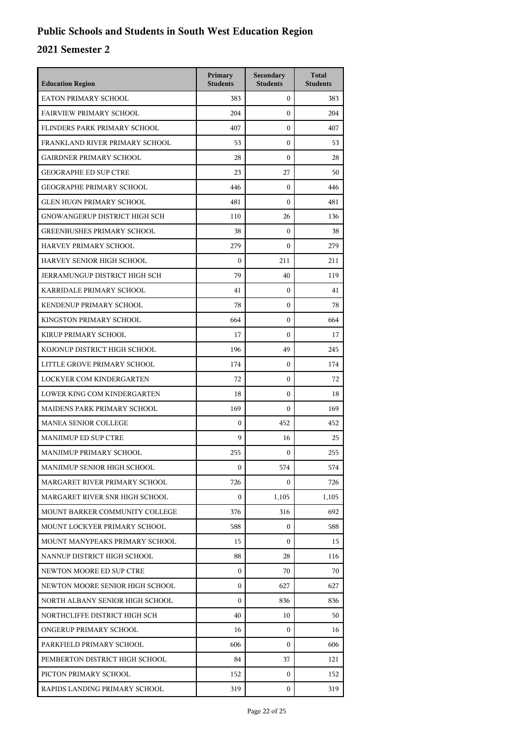| <b>Education Region</b>           | Primary<br><b>Students</b> | Secondary<br><b>Students</b> | <b>Total</b><br><b>Students</b> |
|-----------------------------------|----------------------------|------------------------------|---------------------------------|
| EATON PRIMARY SCHOOL              | 383                        | $\mathbf{0}$                 | 383                             |
| <b>FAIRVIEW PRIMARY SCHOOL</b>    | 204                        | $\mathbf{0}$                 | 204                             |
| FLINDERS PARK PRIMARY SCHOOL      | 407                        | $\mathbf{0}$                 | 407                             |
| FRANKLAND RIVER PRIMARY SCHOOL    | 53                         | $\mathbf{0}$                 | 53                              |
| GAIRDNER PRIMARY SCHOOL           | 28                         | $\mathbf{0}$                 | 28                              |
| <b>GEOGRAPHE ED SUP CTRE</b>      | 23                         | 27                           | 50                              |
| <b>GEOGRAPHE PRIMARY SCHOOL</b>   | 446                        | $\mathbf{0}$                 | 446                             |
| <b>GLEN HUON PRIMARY SCHOOL</b>   | 481                        | $\mathbf{0}$                 | 481                             |
| GNOWANGERUP DISTRICT HIGH SCH     | 110                        | 26                           | 136                             |
| <b>GREENBUSHES PRIMARY SCHOOL</b> | 38                         | $\mathbf{0}$                 | 38                              |
| HARVEY PRIMARY SCHOOL             | 279                        | $\mathbf{0}$                 | 279                             |
| HARVEY SENIOR HIGH SCHOOL         | $\boldsymbol{0}$           | 211                          | 211                             |
| JERRAMUNGUP DISTRICT HIGH SCH     | 79                         | 40                           | 119                             |
| KARRIDALE PRIMARY SCHOOL          | 41                         | $\mathbf{0}$                 | 41                              |
| KENDENUP PRIMARY SCHOOL           | 78                         | $\mathbf{0}$                 | 78                              |
| KINGSTON PRIMARY SCHOOL           | 664                        | $\mathbf{0}$                 | 664                             |
| KIRUP PRIMARY SCHOOL              | 17                         | $\mathbf{0}$                 | 17                              |
| KOJONUP DISTRICT HIGH SCHOOL      | 196                        | 49                           | 245                             |
| LITTLE GROVE PRIMARY SCHOOL       | 174                        | $\mathbf{0}$                 | 174                             |
| LOCKYER COM KINDERGARTEN          | 72                         | $\mathbf{0}$                 | 72                              |
| LOWER KING COM KINDERGARTEN       | 18                         | $\mathbf{0}$                 | 18                              |
| MAIDENS PARK PRIMARY SCHOOL       | 169                        | $\boldsymbol{0}$             | 169                             |
| <b>MANEA SENIOR COLLEGE</b>       | $\mathbf{0}$               | 452                          | 452                             |
| MANJIMUP ED SUP CTRE              | 9                          | 16                           | 25                              |
| MANJIMUP PRIMARY SCHOOL           | 255                        | $\mathbf{0}$                 | 255                             |
| MANJIMUP SENIOR HIGH SCHOOL       | $\boldsymbol{0}$           | 574                          | 574                             |
| MARGARET RIVER PRIMARY SCHOOL     | 726                        | 0                            | 726                             |
| MARGARET RIVER SNR HIGH SCHOOL    | $\boldsymbol{0}$           | 1,105                        | 1,105                           |
| MOUNT BARKER COMMUNITY COLLEGE    | 376                        | 316                          | 692                             |
| MOUNT LOCKYER PRIMARY SCHOOL      | 588                        | 0                            | 588                             |
| MOUNT MANYPEAKS PRIMARY SCHOOL    | 15                         | $\mathbf{0}$                 | 15                              |
| NANNUP DISTRICT HIGH SCHOOL       | 88                         | 28                           | 116                             |
| NEWTON MOORE ED SUP CTRE          | $\boldsymbol{0}$           | 70                           | 70                              |
| NEWTON MOORE SENIOR HIGH SCHOOL   | $\boldsymbol{0}$           | 627                          | 627                             |
| NORTH ALBANY SENIOR HIGH SCHOOL   | $\boldsymbol{0}$           | 836                          | 836                             |
| NORTHCLIFFE DISTRICT HIGH SCH     | 40                         | 10                           | 50                              |
| ONGERUP PRIMARY SCHOOL            | 16                         | $\mathbf{0}$                 | 16                              |
| PARKFIELD PRIMARY SCHOOL          | 606                        | $\Omega$                     | 606                             |
| PEMBERTON DISTRICT HIGH SCHOOL    | 84                         | 37                           | 121                             |
| PICTON PRIMARY SCHOOL             | 152                        | 0                            | 152                             |
| RAPIDS LANDING PRIMARY SCHOOL     | 319                        | $\boldsymbol{0}$             | 319                             |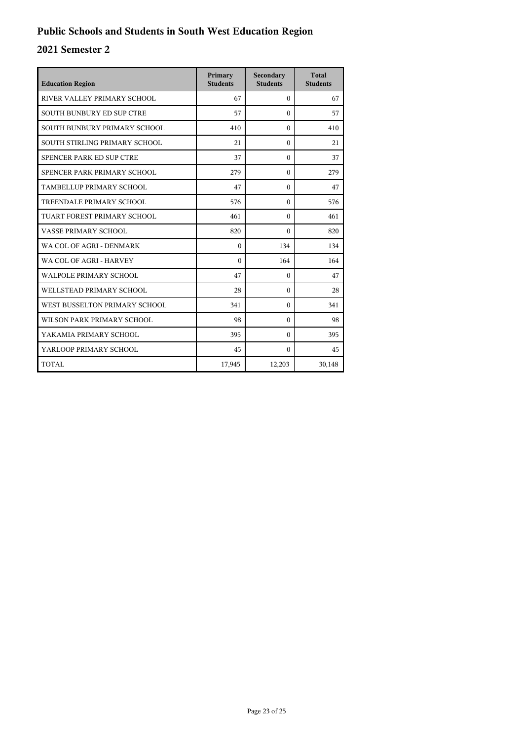| <b>Education Region</b>          | Primary<br><b>Students</b> | Secondary<br><b>Students</b> | Total<br><b>Students</b> |
|----------------------------------|----------------------------|------------------------------|--------------------------|
| RIVER VALLEY PRIMARY SCHOOL      | 67                         | $\mathbf{0}$                 | 67                       |
| <b>SOUTH BUNBURY ED SUP CTRE</b> | 57                         | $\theta$                     | 57                       |
| SOUTH BUNBURY PRIMARY SCHOOL     | 410                        | $\Omega$                     | 410                      |
| SOUTH STIRLING PRIMARY SCHOOL    | 21                         | $\theta$                     | 21                       |
| SPENCER PARK ED SUP CTRE         | 37                         | $\Omega$                     | 37                       |
| SPENCER PARK PRIMARY SCHOOL      | 279                        | $\theta$                     | 279                      |
| TAMBELLUP PRIMARY SCHOOL         | 47                         | $\theta$                     | 47                       |
| TREENDALE PRIMARY SCHOOL         | 576                        | $\Omega$                     | 576                      |
| TUART FOREST PRIMARY SCHOOL      | 461                        | $\theta$                     | 461                      |
| VASSE PRIMARY SCHOOL             | 820                        | $\theta$                     | 820                      |
| WA COL OF AGRI - DENMARK         | $\theta$                   | 134                          | 134                      |
| WA COL OF AGRI - HARVEY          | $\Omega$                   | 164                          | 164                      |
| <b>WALPOLE PRIMARY SCHOOL</b>    | 47                         | $\Omega$                     | 47                       |
| WELLSTEAD PRIMARY SCHOOL         | 28                         | $\Omega$                     | 28                       |
| WEST BUSSELTON PRIMARY SCHOOL    | 341                        | $\Omega$                     | 341                      |
| WILSON PARK PRIMARY SCHOOL       | 98                         | $\theta$                     | 98                       |
| YAKAMIA PRIMARY SCHOOL           | 395                        | $\theta$                     | 395                      |
| YARLOOP PRIMARY SCHOOL           | 45                         | $\Omega$                     | 45                       |
| TOTAL                            | 17,945                     | 12,203                       | 30,148                   |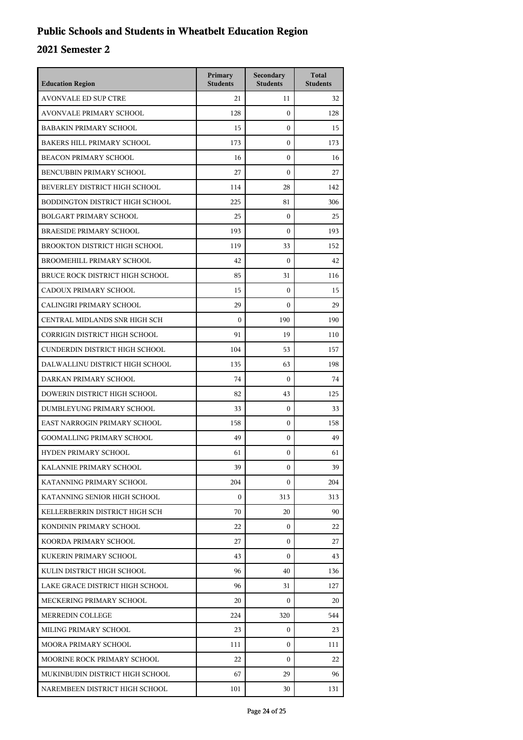## **Public Schools and Students in Wheatbelt Education Region**

| <b>Education Region</b>           | Primary<br><b>Students</b> | Secondary<br><b>Students</b> | <b>Total</b><br><b>Students</b> |
|-----------------------------------|----------------------------|------------------------------|---------------------------------|
| <b>AVONVALE ED SUP CTRE</b>       | 21                         | 11                           | 32                              |
| <b>AVONVALE PRIMARY SCHOOL</b>    | 128                        | $\mathbf{0}$                 | 128                             |
| <b>BABAKIN PRIMARY SCHOOL</b>     | 15                         | $\mathbf{0}$                 | 15                              |
| <b>BAKERS HILL PRIMARY SCHOOL</b> | 173                        | $\boldsymbol{0}$             | 173                             |
| <b>BEACON PRIMARY SCHOOL</b>      | 16                         | $\mathbf{0}$                 | 16                              |
| BENCUBBIN PRIMARY SCHOOL          | 27                         | $\mathbf{0}$                 | 27                              |
| BEVERLEY DISTRICT HIGH SCHOOL     | 114                        | 28                           | 142                             |
| BODDINGTON DISTRICT HIGH SCHOOL   | 225                        | 81                           | 306                             |
| <b>BOLGART PRIMARY SCHOOL</b>     | 25                         | $\boldsymbol{0}$             | 25                              |
| <b>BRAESIDE PRIMARY SCHOOL</b>    | 193                        | $\mathbf{0}$                 | 193                             |
| BROOKTON DISTRICT HIGH SCHOOL     | 119                        | 33                           | 152                             |
| BROOMEHILL PRIMARY SCHOOL         | 42                         | $\mathbf{0}$                 | 42                              |
| BRUCE ROCK DISTRICT HIGH SCHOOL   | 85                         | 31                           | 116                             |
| CADOUX PRIMARY SCHOOL             | 15                         | $\boldsymbol{0}$             | 15                              |
| CALINGIRI PRIMARY SCHOOL          | 29                         | $\mathbf{0}$                 | 29                              |
| CENTRAL MIDLANDS SNR HIGH SCH     | $\mathbf{0}$               | 190                          | 190                             |
| CORRIGIN DISTRICT HIGH SCHOOL     | 91                         | 19                           | 110                             |
| CUNDERDIN DISTRICT HIGH SCHOOL    | 104                        | 53                           | 157                             |
| DALWALLINU DISTRICT HIGH SCHOOL   | 135                        | 63                           | 198                             |
| DARKAN PRIMARY SCHOOL             | 74                         | $\mathbf{0}$                 | 74                              |
| DOWERIN DISTRICT HIGH SCHOOL      | 82                         | 43                           | 125                             |
| DUMBLEYUNG PRIMARY SCHOOL         | 33                         | $\mathbf{0}$                 | 33                              |
| EAST NARROGIN PRIMARY SCHOOL      | 158                        | $\mathbf{0}$                 | 158                             |
| <b>GOOMALLING PRIMARY SCHOOL</b>  | 49                         | $\boldsymbol{0}$             | 49                              |
| HYDEN PRIMARY SCHOOL              | 61                         | $\mathbf{0}$                 | 61                              |
| KALANNIE PRIMARY SCHOOL           | 39                         | 0                            | 39                              |
| KATANNING PRIMARY SCHOOL          | 204                        | $\mathbf{0}$                 | 204                             |
| KATANNING SENIOR HIGH SCHOOL      | $\mathbf{0}$               | 313                          | 313                             |
| KELLERBERRIN DISTRICT HIGH SCH    | 70                         | 20                           | 90                              |
| KONDININ PRIMARY SCHOOL           | 22                         | $\mathbf{0}$                 | 22                              |
| KOORDA PRIMARY SCHOOL             | 27                         | $\mathbf{0}$                 | 27                              |
| KUKERIN PRIMARY SCHOOL            | 43                         | $\mathbf{0}$                 | 43                              |
| KULIN DISTRICT HIGH SCHOOL        | 96                         | 40                           | 136                             |
| LAKE GRACE DISTRICT HIGH SCHOOL   | 96                         | 31                           | 127                             |
| MECKERING PRIMARY SCHOOL          | 20                         | $\mathbf{0}$                 | 20                              |
| MERREDIN COLLEGE                  | 224                        | 320                          | 544                             |
| MILING PRIMARY SCHOOL             | 23                         | $\mathbf{0}$                 | 23                              |
| MOORA PRIMARY SCHOOL              | 111                        | 0                            | 111                             |
| MOORINE ROCK PRIMARY SCHOOL       | 22                         | 0                            | 22                              |
| MUKINBUDIN DISTRICT HIGH SCHOOL   | 67                         | 29                           | 96                              |
| NAREMBEEN DISTRICT HIGH SCHOOL    | 101                        | 30                           | 131                             |